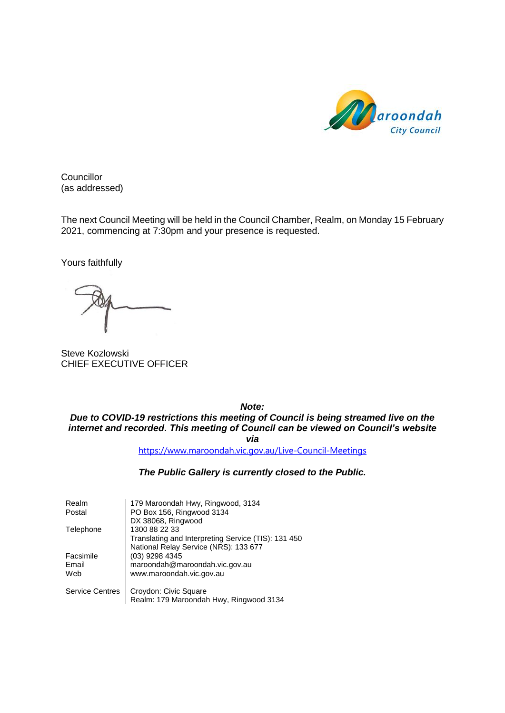

**Councillor** (as addressed)

The next Council Meeting will be held in the Council Chamber, Realm, on Monday 15 February 2021, commencing at 7:30pm and your presence is requested.

Yours faithfully

Steve Kozlowski CHIEF EXECUTIVE OFFICER

*Note:*

*Due to COVID-19 restrictions this meeting of Council is being streamed live on the internet and recorded. This meeting of Council can be viewed on Council's website via*

<https://www.maroondah.vic.gov.au/Live-Council-Meetings>

*The Public Gallery is currently closed to the Public.*

| Realm<br>Postal           | 179 Maroondah Hwy, Ringwood, 3134<br>PO Box 156, Ringwood 3134<br>DX 38068, Ringwood                          |
|---------------------------|---------------------------------------------------------------------------------------------------------------|
| Telephone                 | 1300 88 22 33<br>Translating and Interpreting Service (TIS): 131 450<br>National Relay Service (NRS): 133 677 |
| Facsimile<br>Email<br>Web | (03) 9298 4345<br>maroondah@maroondah.vic.gov.au<br>www.maroondah.vic.gov.au                                  |
| <b>Service Centres</b>    | Croydon: Civic Square<br>Realm: 179 Maroondah Hwy, Ringwood 3134                                              |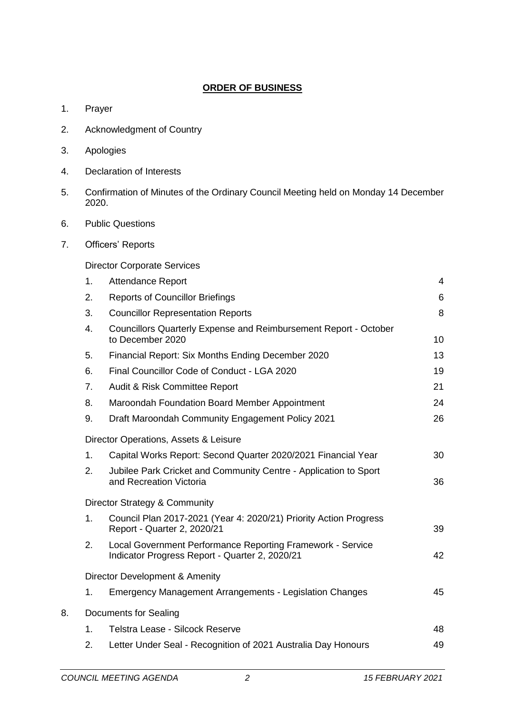# **ORDER OF BUSINESS**

- 1. Prayer
- 2. Acknowledgment of Country
- 3. Apologies
- 4. Declaration of Interests
- 5. Confirmation of Minutes of the Ordinary Council Meeting held on Monday 14 December 2020.
- 6. Public Questions
- 7. Officers' Reports

Director Corporate Services

|    | 1. | <b>Attendance Report</b>                                                                                     | 4  |
|----|----|--------------------------------------------------------------------------------------------------------------|----|
|    | 2. | <b>Reports of Councillor Briefings</b>                                                                       | 6  |
|    | 3. | <b>Councillor Representation Reports</b>                                                                     | 8  |
|    | 4. | Councillors Quarterly Expense and Reimbursement Report - October<br>to December 2020                         | 10 |
|    | 5. | Financial Report: Six Months Ending December 2020                                                            | 13 |
|    | 6. | Final Councillor Code of Conduct - LGA 2020                                                                  | 19 |
|    | 7. | Audit & Risk Committee Report                                                                                | 21 |
|    | 8. | Maroondah Foundation Board Member Appointment                                                                | 24 |
|    | 9. | Draft Maroondah Community Engagement Policy 2021                                                             | 26 |
|    |    | Director Operations, Assets & Leisure                                                                        |    |
|    | 1. | Capital Works Report: Second Quarter 2020/2021 Financial Year                                                | 30 |
|    | 2. | Jubilee Park Cricket and Community Centre - Application to Sport<br>and Recreation Victoria                  | 36 |
|    |    | Director Strategy & Community                                                                                |    |
|    | 1. | Council Plan 2017-2021 (Year 4: 2020/21) Priority Action Progress<br>Report - Quarter 2, 2020/21             | 39 |
|    | 2. | Local Government Performance Reporting Framework - Service<br>Indicator Progress Report - Quarter 2, 2020/21 | 42 |
|    |    | Director Development & Amenity                                                                               |    |
|    | 1. | <b>Emergency Management Arrangements - Legislation Changes</b>                                               | 45 |
| 8. |    | <b>Documents for Sealing</b>                                                                                 |    |
|    | 1. | Telstra Lease - Silcock Reserve                                                                              | 48 |
|    | 2. | Letter Under Seal - Recognition of 2021 Australia Day Honours                                                | 49 |
|    |    |                                                                                                              |    |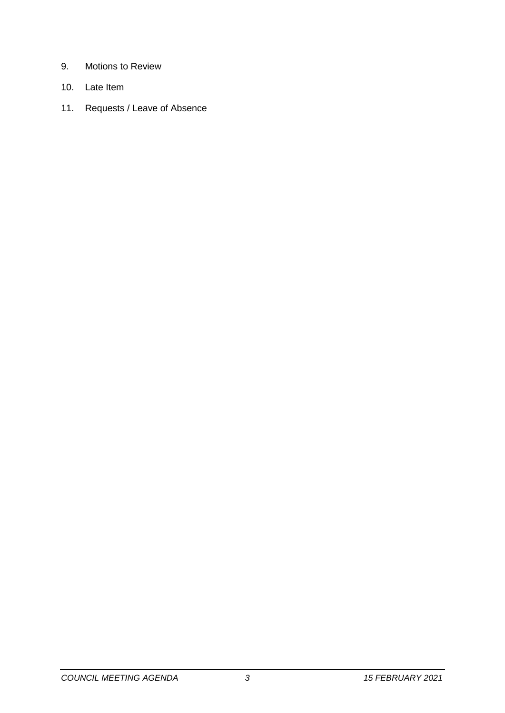- 9. Motions to Review
- 10. Late Item
- 11. Requests / Leave of Absence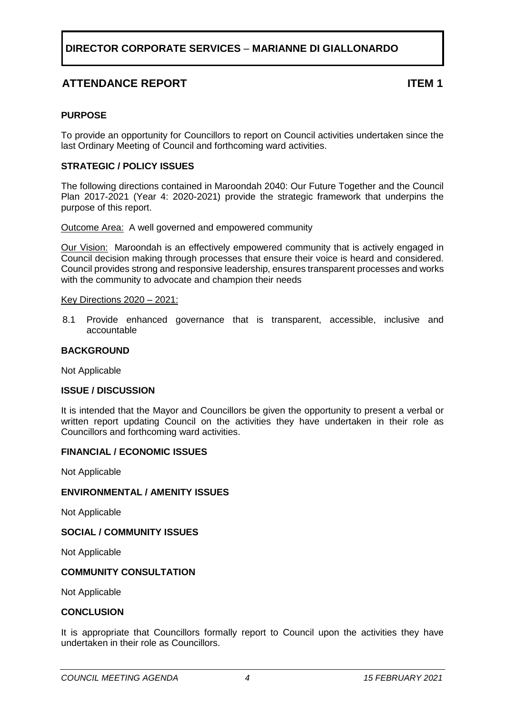# **ATTENDANCE REPORT ITEM 1**

# <span id="page-3-0"></span>**PURPOSE**

To provide an opportunity for Councillors to report on Council activities undertaken since the last Ordinary Meeting of Council and forthcoming ward activities.

# **STRATEGIC / POLICY ISSUES**

The following directions contained in Maroondah 2040: Our Future Together and the Council Plan 2017-2021 (Year 4: 2020-2021) provide the strategic framework that underpins the purpose of this report.

Outcome Area:A well governed and empowered community

Our Vision:Maroondah is an effectively empowered community that is actively engaged in Council decision making through processes that ensure their voice is heard and considered. Council provides strong and responsive leadership, ensures transparent processes and works with the community to advocate and champion their needs

### Key Directions 2020 – 2021:

8.1 Provide enhanced governance that is transparent, accessible, inclusive and accountable

# **BACKGROUND**

Not Applicable

# **ISSUE / DISCUSSION**

It is intended that the Mayor and Councillors be given the opportunity to present a verbal or written report updating Council on the activities they have undertaken in their role as Councillors and forthcoming ward activities.

# **FINANCIAL / ECONOMIC ISSUES**

Not Applicable

# **ENVIRONMENTAL / AMENITY ISSUES**

Not Applicable

# **SOCIAL / COMMUNITY ISSUES**

Not Applicable

# **COMMUNITY CONSULTATION**

Not Applicable

### **CONCLUSION**

It is appropriate that Councillors formally report to Council upon the activities they have undertaken in their role as Councillors.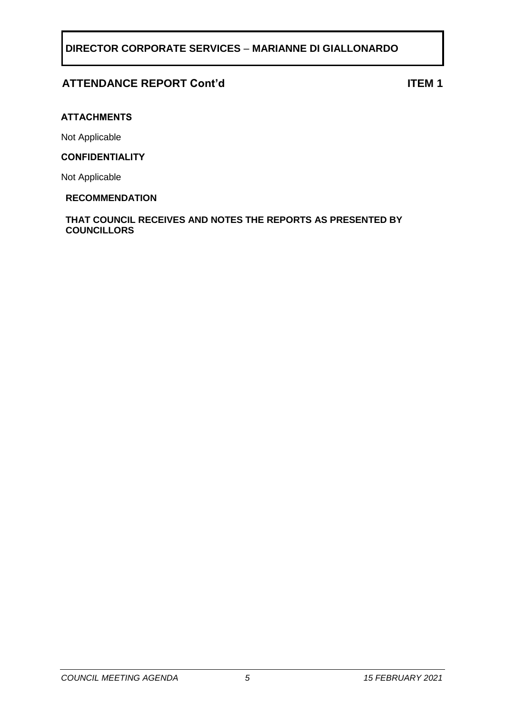# **ATTENDANCE REPORT Cont'd ITEM 1**

# **ATTACHMENTS**

Not Applicable

# **CONFIDENTIALITY**

Not Applicable

# **RECOMMENDATION**

**THAT COUNCIL RECEIVES AND NOTES THE REPORTS AS PRESENTED BY COUNCILLORS**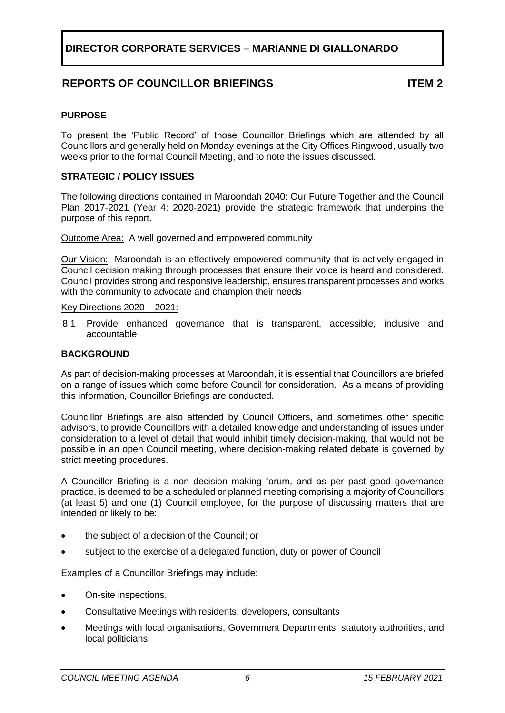# **REPORTS OF COUNCILLOR BRIEFINGS ITEM 2**

# <span id="page-5-0"></span>**PURPOSE**

To present the 'Public Record' of those Councillor Briefings which are attended by all Councillors and generally held on Monday evenings at the City Offices Ringwood, usually two weeks prior to the formal Council Meeting, and to note the issues discussed.

# **STRATEGIC / POLICY ISSUES**

The following directions contained in Maroondah 2040: Our Future Together and the Council Plan 2017-2021 (Year 4: 2020-2021) provide the strategic framework that underpins the purpose of this report.

Outcome Area: A well governed and empowered community

Our Vision:Maroondah is an effectively empowered community that is actively engaged in Council decision making through processes that ensure their voice is heard and considered. Council provides strong and responsive leadership, ensures transparent processes and works with the community to advocate and champion their needs

Key Directions 2020 – 2021:

8.1 Provide enhanced governance that is transparent, accessible, inclusive and accountable

### **BACKGROUND**

As part of decision-making processes at Maroondah, it is essential that Councillors are briefed on a range of issues which come before Council for consideration. As a means of providing this information, Councillor Briefings are conducted.

Councillor Briefings are also attended by Council Officers, and sometimes other specific advisors, to provide Councillors with a detailed knowledge and understanding of issues under consideration to a level of detail that would inhibit timely decision-making, that would not be possible in an open Council meeting, where decision-making related debate is governed by strict meeting procedures.

A Councillor Briefing is a non decision making forum, and as per past good governance practice, is deemed to be a scheduled or planned meeting comprising a majority of Councillors (at least 5) and one (1) Council employee, for the purpose of discussing matters that are intended or likely to be:

- the subject of a decision of the Council; or
- subject to the exercise of a delegated function, duty or power of Council

Examples of a Councillor Briefings may include:

- On-site inspections,
- Consultative Meetings with residents, developers, consultants
- Meetings with local organisations, Government Departments, statutory authorities, and local politicians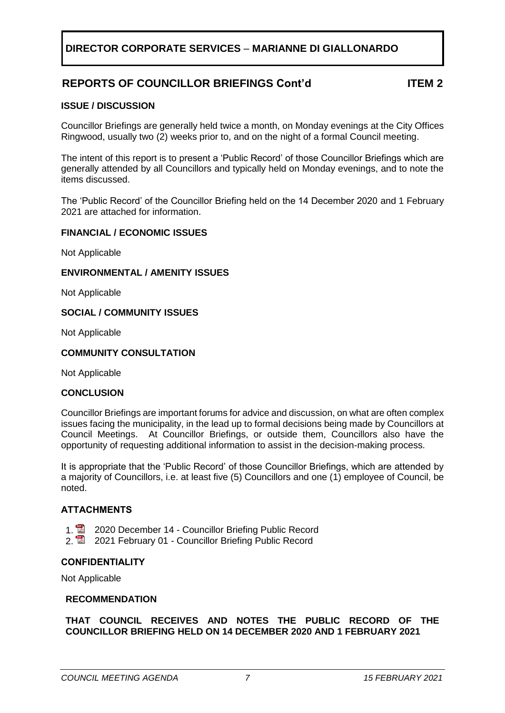# **REPORTS OF COUNCILLOR BRIEFINGS Cont'd ITEM 2**

# **ISSUE / DISCUSSION**

Councillor Briefings are generally held twice a month, on Monday evenings at the City Offices Ringwood, usually two (2) weeks prior to, and on the night of a formal Council meeting.

The intent of this report is to present a 'Public Record' of those Councillor Briefings which are generally attended by all Councillors and typically held on Monday evenings, and to note the items discussed.

The 'Public Record' of the Councillor Briefing held on the 14 December 2020 and 1 February 2021 are attached for information.

# **FINANCIAL / ECONOMIC ISSUES**

Not Applicable

# **ENVIRONMENTAL / AMENITY ISSUES**

Not Applicable

# **SOCIAL / COMMUNITY ISSUES**

Not Applicable

# **COMMUNITY CONSULTATION**

Not Applicable

# **CONCLUSION**

Councillor Briefings are important forums for advice and discussion, on what are often complex issues facing the municipality, in the lead up to formal decisions being made by Councillors at Council Meetings. At Councillor Briefings, or outside them, Councillors also have the opportunity of requesting additional information to assist in the decision-making process.

It is appropriate that the 'Public Record' of those Councillor Briefings, which are attended by a majority of Councillors, i.e. at least five (5) Councillors and one (1) employee of Council, be noted.

# **ATTACHMENTS**

- 1. **2020 December 14 Councillor Briefing Public Record**
- 2. **2021 February 01 Councillor Briefing Public Record**

### **CONFIDENTIALITY**

Not Applicable

### **RECOMMENDATION**

**THAT COUNCIL RECEIVES AND NOTES THE PUBLIC RECORD OF THE COUNCILLOR BRIEFING HELD ON 14 DECEMBER 2020 AND 1 FEBRUARY 2021**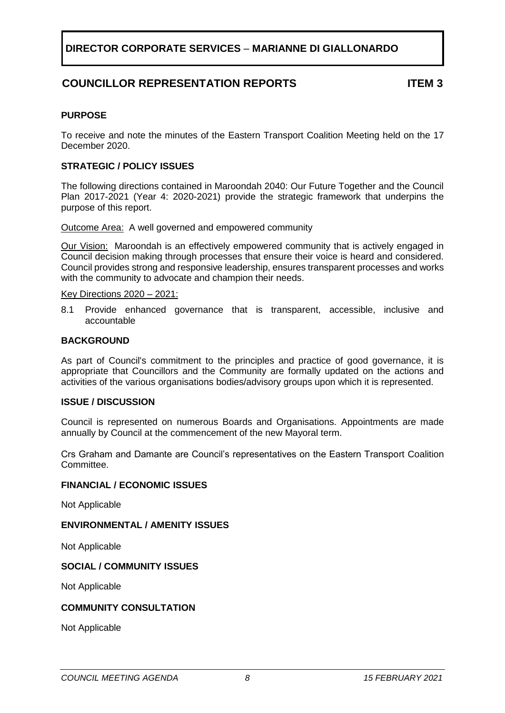# **COUNCILLOR REPRESENTATION REPORTS ITEM 3**

# <span id="page-7-0"></span>**PURPOSE**

To receive and note the minutes of the Eastern Transport Coalition Meeting held on the 17 December 2020.

# **STRATEGIC / POLICY ISSUES**

The following directions contained in Maroondah 2040: Our Future Together and the Council Plan 2017-2021 (Year 4: 2020-2021) provide the strategic framework that underpins the purpose of this report.

Outcome Area: A well governed and empowered community

Our Vision:Maroondah is an effectively empowered community that is actively engaged in Council decision making through processes that ensure their voice is heard and considered. Council provides strong and responsive leadership, ensures transparent processes and works with the community to advocate and champion their needs.

Key Directions 2020 – 2021:

8.1 Provide enhanced governance that is transparent, accessible, inclusive and accountable

### **BACKGROUND**

As part of Council's commitment to the principles and practice of good governance, it is appropriate that Councillors and the Community are formally updated on the actions and activities of the various organisations bodies/advisory groups upon which it is represented.

# **ISSUE / DISCUSSION**

Council is represented on numerous Boards and Organisations. Appointments are made annually by Council at the commencement of the new Mayoral term.

Crs Graham and Damante are Council's representatives on the Eastern Transport Coalition Committee.

### **FINANCIAL / ECONOMIC ISSUES**

Not Applicable

# **ENVIRONMENTAL / AMENITY ISSUES**

Not Applicable

# **SOCIAL / COMMUNITY ISSUES**

Not Applicable

# **COMMUNITY CONSULTATION**

Not Applicable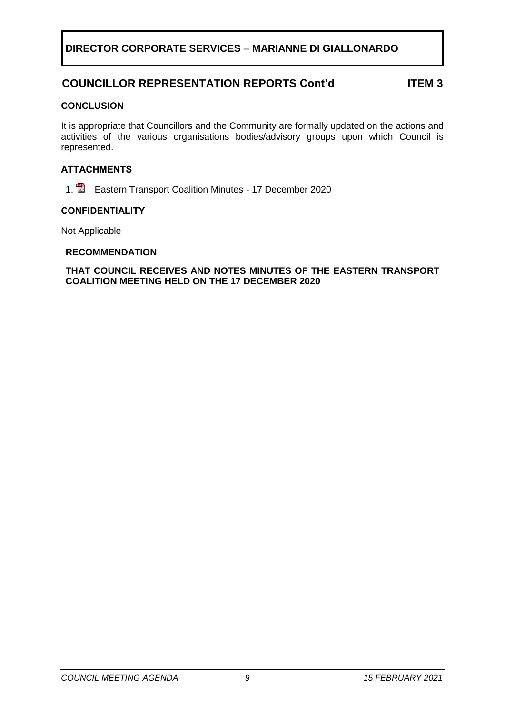# **COUNCILLOR REPRESENTATION REPORTS Cont'd ITEM 3**

# **CONCLUSION**

It is appropriate that Councillors and the Community are formally updated on the actions and activities of the various organisations bodies/advisory groups upon which Council is represented.

# **ATTACHMENTS**

1. **E** Eastern Transport Coalition Minutes - 17 December 2020

# **CONFIDENTIALITY**

Not Applicable

# **RECOMMENDATION**

# **THAT COUNCIL RECEIVES AND NOTES MINUTES OF THE EASTERN TRANSPORT COALITION MEETING HELD ON THE 17 DECEMBER 2020**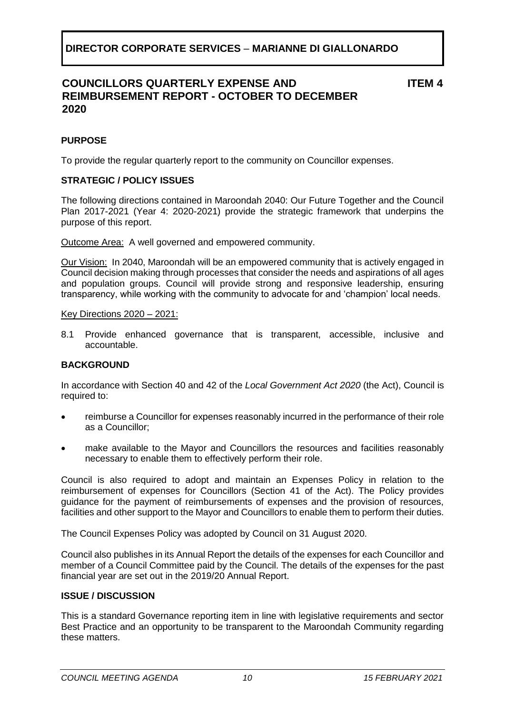# **COUNCILLORS QUARTERLY EXPENSE AND REIMBURSEMENT REPORT - OCTOBER TO DECEMBER 2020**

**ITEM 4**

# <span id="page-9-0"></span>**PURPOSE**

To provide the regular quarterly report to the community on Councillor expenses.

# **STRATEGIC / POLICY ISSUES**

The following directions contained in Maroondah 2040: Our Future Together and the Council Plan 2017-2021 (Year 4: 2020-2021) provide the strategic framework that underpins the purpose of this report.

Outcome Area:A well governed and empowered community.

Our Vision:In 2040, Maroondah will be an empowered community that is actively engaged in Council decision making through processes that consider the needs and aspirations of all ages and population groups. Council will provide strong and responsive leadership, ensuring transparency, while working with the community to advocate for and 'champion' local needs.

### Key Directions 2020 – 2021:

8.1 Provide enhanced governance that is transparent, accessible, inclusive and accountable.

# **BACKGROUND**

In accordance with Section 40 and 42 of the *Local Government Act 2020* (the Act), Council is required to:

- reimburse a Councillor for expenses reasonably incurred in the performance of their role as a Councillor;
- make available to the Mayor and Councillors the resources and facilities reasonably necessary to enable them to effectively perform their role.

Council is also required to adopt and maintain an Expenses Policy in relation to the reimbursement of expenses for Councillors (Section 41 of the Act). The Policy provides guidance for the payment of reimbursements of expenses and the provision of resources, facilities and other support to the Mayor and Councillors to enable them to perform their duties.

The Council Expenses Policy was adopted by Council on 31 August 2020.

Council also publishes in its Annual Report the details of the expenses for each Councillor and member of a Council Committee paid by the Council. The details of the expenses for the past financial year are set out in the 2019/20 Annual Report.

# **ISSUE / DISCUSSION**

This is a standard Governance reporting item in line with legislative requirements and sector Best Practice and an opportunity to be transparent to the Maroondah Community regarding these matters.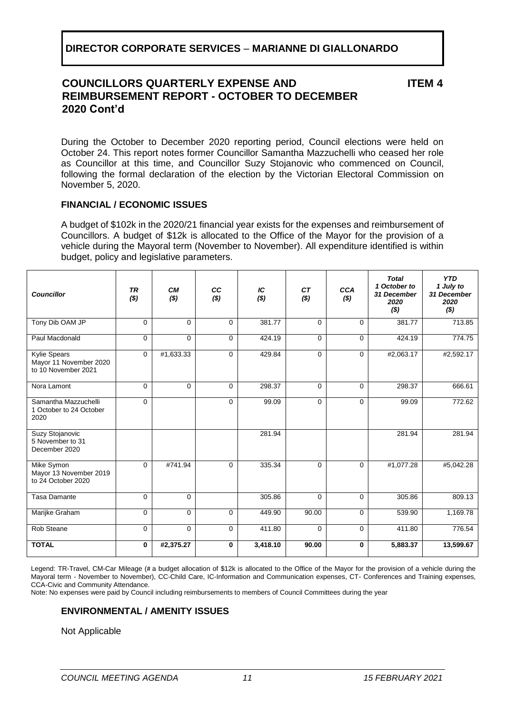# **COUNCILLORS QUARTERLY EXPENSE AND REIMBURSEMENT REPORT - OCTOBER TO DECEMBER 2020 Cont'd**

**ITEM 4**

During the October to December 2020 reporting period, Council elections were held on October 24. This report notes former Councillor Samantha Mazzuchelli who ceased her role as Councillor at this time, and Councillor Suzy Stojanovic who commenced on Council, following the formal declaration of the election by the Victorian Electoral Commission on November 5, 2020.

# **FINANCIAL / ECONOMIC ISSUES**

A budget of \$102k in the 2020/21 financial year exists for the expenses and reimbursement of Councillors. A budget of \$12k is allocated to the Office of the Mayor for the provision of a vehicle during the Mayoral term (November to November). All expenditure identified is within budget, policy and legislative parameters.

| <b>Councillor</b>                                                    | <b>TR</b><br>( \$) | <b>CM</b><br>( \$) | CC<br>$($ \$) | IC<br>( \$) | CТ<br>( \$) | <b>CCA</b><br>( \$) | <b>Total</b><br>1 October to<br>31 December<br>2020<br>$($ \$) | <b>YTD</b><br>1 July to<br>31 December<br>2020<br>( \$) |
|----------------------------------------------------------------------|--------------------|--------------------|---------------|-------------|-------------|---------------------|----------------------------------------------------------------|---------------------------------------------------------|
| Tony Dib OAM JP                                                      | $\Omega$           | $\Omega$           | $\Omega$      | 381.77      | $\Omega$    | $\Omega$            | 381.77                                                         | 713.85                                                  |
| Paul Macdonald                                                       | $\Omega$           | $\Omega$           | $\Omega$      | 424.19      | $\Omega$    | $\Omega$            | 424.19                                                         | 774.75                                                  |
| <b>Kylie Spears</b><br>Mayor 11 November 2020<br>to 10 November 2021 | $\mathbf 0$        | #1,633.33          | 0             | 429.84      | $\Omega$    | $\Omega$            | #2,063.17                                                      | #2,592.17                                               |
| Nora Lamont                                                          | $\Omega$           | $\Omega$           | $\Omega$      | 298.37      | $\Omega$    | $\Omega$            | 298.37                                                         | 666.61                                                  |
| Samantha Mazzuchelli<br>1 October to 24 October<br>2020              | $\Omega$           |                    | $\Omega$      | 99.09       | $\Omega$    | $\Omega$            | 99.09                                                          | 772.62                                                  |
| Suzy Stojanovic<br>5 November to 31<br>December 2020                 |                    |                    |               | 281.94      |             |                     | 281.94                                                         | 281.94                                                  |
| Mike Symon<br>Mayor 13 November 2019<br>to 24 October 2020           | $\Omega$           | #741.94            | $\mathbf{0}$  | 335.34      | $\Omega$    | $\Omega$            | #1,077.28                                                      | #5,042.28                                               |
| <b>Tasa Damante</b>                                                  | $\Omega$           | $\overline{0}$     |               | 305.86      | $\Omega$    | $\Omega$            | 305.86                                                         | 809.13                                                  |
| Marijke Graham                                                       | $\Omega$           | $\Omega$           | $\Omega$      | 449.90      | 90.00       | $\Omega$            | 539.90                                                         | 1,169.78                                                |
| <b>Rob Steane</b>                                                    | $\mathbf 0$        | $\mathbf 0$        | 0             | 411.80      | $\Omega$    | 0                   | 411.80                                                         | 776.54                                                  |
| <b>TOTAL</b>                                                         | $\mathbf 0$        | #2,375.27          | $\mathbf 0$   | 3,418.10    | 90.00       | $\mathbf 0$         | 5,883.37                                                       | 13,599.67                                               |

Legend: TR-Travel, CM-Car Mileage (# a budget allocation of \$12k is allocated to the Office of the Mayor for the provision of a vehicle during the Mayoral term - November to November), CC-Child Care, IC-Information and Communication expenses, CT- Conferences and Training expenses, CCA-Civic and Community Attendance.

Note: No expenses were paid by Council including reimbursements to members of Council Committees during the year

# **ENVIRONMENTAL / AMENITY ISSUES**

Not Applicable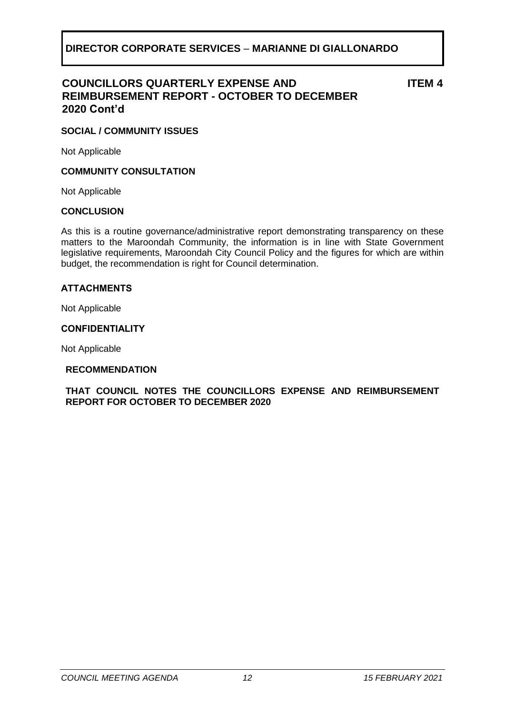# **COUNCILLORS QUARTERLY EXPENSE AND REIMBURSEMENT REPORT - OCTOBER TO DECEMBER 2020 Cont'd**

**ITEM 4**

# **SOCIAL / COMMUNITY ISSUES**

Not Applicable

# **COMMUNITY CONSULTATION**

Not Applicable

# **CONCLUSION**

As this is a routine governance/administrative report demonstrating transparency on these matters to the Maroondah Community, the information is in line with State Government legislative requirements, Maroondah City Council Policy and the figures for which are within budget, the recommendation is right for Council determination.

# **ATTACHMENTS**

Not Applicable

### **CONFIDENTIALITY**

Not Applicable

# **RECOMMENDATION**

# **THAT COUNCIL NOTES THE COUNCILLORS EXPENSE AND REIMBURSEMENT REPORT FOR OCTOBER TO DECEMBER 2020**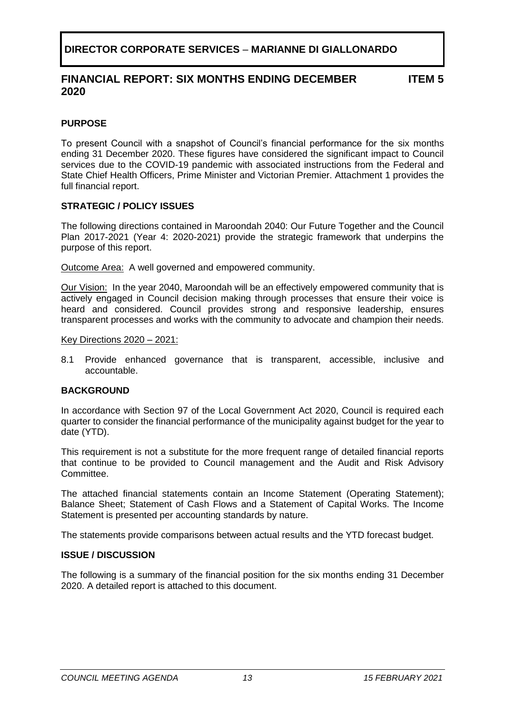# **FINANCIAL REPORT: SIX MONTHS ENDING DECEMBER 2020**

**ITEM 5**

# <span id="page-12-0"></span>**PURPOSE**

To present Council with a snapshot of Council's financial performance for the six months ending 31 December 2020. These figures have considered the significant impact to Council services due to the COVID-19 pandemic with associated instructions from the Federal and State Chief Health Officers, Prime Minister and Victorian Premier. Attachment 1 provides the full financial report.

# **STRATEGIC / POLICY ISSUES**

The following directions contained in Maroondah 2040: Our Future Together and the Council Plan 2017-2021 (Year 4: 2020-2021) provide the strategic framework that underpins the purpose of this report.

Outcome Area:A well governed and empowered community.

Our Vision:In the year 2040, Maroondah will be an effectively empowered community that is actively engaged in Council decision making through processes that ensure their voice is heard and considered. Council provides strong and responsive leadership, ensures transparent processes and works with the community to advocate and champion their needs.

Key Directions 2020 – 2021:

8.1 Provide enhanced governance that is transparent, accessible, inclusive and accountable.

# **BACKGROUND**

In accordance with Section 97 of the Local Government Act 2020, Council is required each quarter to consider the financial performance of the municipality against budget for the year to date (YTD).

This requirement is not a substitute for the more frequent range of detailed financial reports that continue to be provided to Council management and the Audit and Risk Advisory Committee.

The attached financial statements contain an Income Statement (Operating Statement); Balance Sheet; Statement of Cash Flows and a Statement of Capital Works. The Income Statement is presented per accounting standards by nature.

The statements provide comparisons between actual results and the YTD forecast budget.

# **ISSUE / DISCUSSION**

The following is a summary of the financial position for the six months ending 31 December 2020. A detailed report is attached to this document.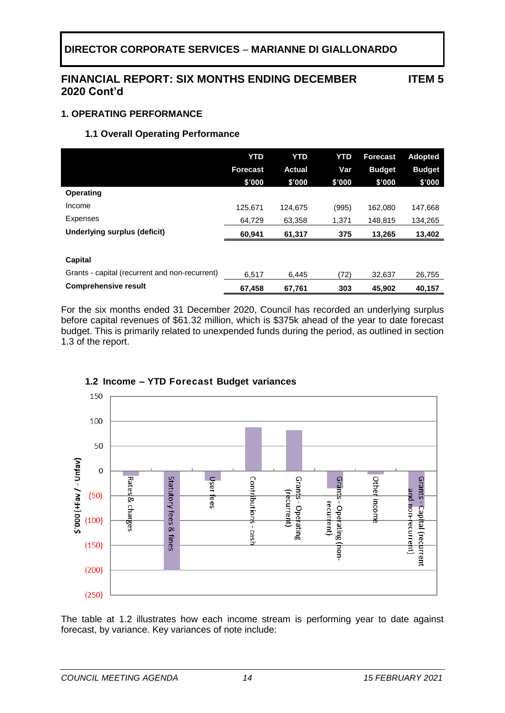# **FINANCIAL REPORT: SIX MONTHS ENDING DECEMBER 2020 Cont'd**

**ITEM 5**

# **1. OPERATING PERFORMANCE**

# **1.1 Overall Operating Performance**

|                                                           | <b>YTD</b><br><b>Forecast</b><br>\$'000 | <b>YTD</b><br><b>Actual</b><br>\$'000 | YTD<br>Var<br>\$'000 | <b>Forecast</b><br><b>Budget</b><br>\$'000 | <b>Adopted</b><br><b>Budget</b><br>\$'000 |
|-----------------------------------------------------------|-----------------------------------------|---------------------------------------|----------------------|--------------------------------------------|-------------------------------------------|
| <b>Operating</b>                                          |                                         |                                       |                      |                                            |                                           |
| Income                                                    | 125,671                                 | 124.675                               | (995)                | 162,080                                    | 147,668                                   |
| <b>Expenses</b>                                           | 64.729                                  | 63,358                                | 1,371                | 148,815                                    | 134,265                                   |
| Underlying surplus (deficit)                              | 60,941                                  | 61,317                                | 375                  | 13,265                                     | 13,402                                    |
| Capital<br>Grants - capital (recurrent and non-recurrent) |                                         |                                       |                      |                                            |                                           |
| <b>Comprehensive result</b>                               | 6,517                                   | 6,445                                 | (72)                 | 32,637                                     | 26,755                                    |
|                                                           | 67,458                                  | 67,761                                | 303                  | 45,902                                     | 40,157                                    |

For the six months ended 31 December 2020, Council has recorded an underlying surplus before capital revenues of \$61.32 million, which is \$375k ahead of the year to date forecast budget. This is primarily related to unexpended funds during the period, as outlined in section 1.3 of the report.



# **1.2 Income – YTD Forecast Budget variances**

The table at 1.2 illustrates how each income stream is performing year to date against forecast, by variance. Key variances of note include: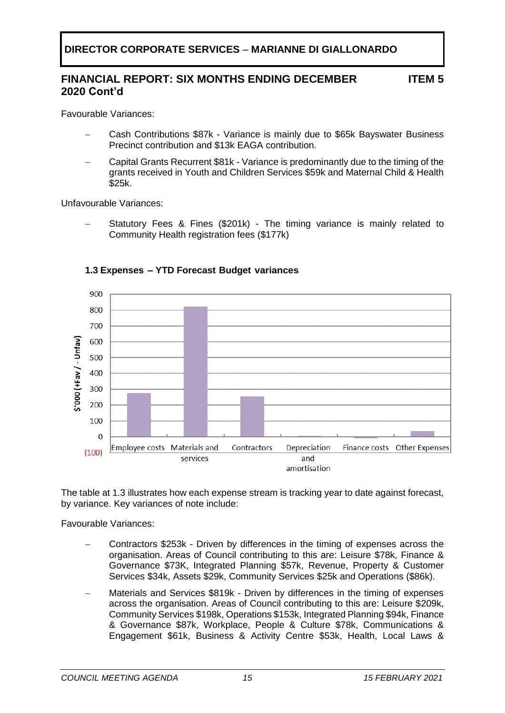#### **FINANCIAL REPORT: SIX MONTHS ENDING DECEMBER 2020 Cont'd ITEM 5**

Favourable Variances:

- − Cash Contributions \$87k Variance is mainly due to \$65k Bayswater Business Precinct contribution and \$13k EAGA contribution.
- − Capital Grants Recurrent \$81k Variance is predominantly due to the timing of the grants received in Youth and Children Services \$59k and Maternal Child & Health \$25k.

Unfavourable Variances:

Statutory Fees & Fines (\$201k) - The timing variance is mainly related to Community Health registration fees (\$177k)



# **1.3 Expenses – YTD Forecast Budget variances**

The table at 1.3 illustrates how each expense stream is tracking year to date against forecast, by variance. Key variances of note include:

Favourable Variances:

- − Contractors \$253k Driven by differences in the timing of expenses across the organisation. Areas of Council contributing to this are: Leisure \$78k, Finance & Governance \$73K, Integrated Planning \$57k, Revenue, Property & Customer Services \$34k, Assets \$29k, Community Services \$25k and Operations (\$86k).
- Materials and Services \$819k Driven by differences in the timing of expenses across the organisation. Areas of Council contributing to this are: Leisure \$209k, Community Services \$198k, Operations \$153k, Integrated Planning \$94k, Finance & Governance \$87k, Workplace, People & Culture \$78k, Communications & Engagement \$61k, Business & Activity Centre \$53k, Health, Local Laws &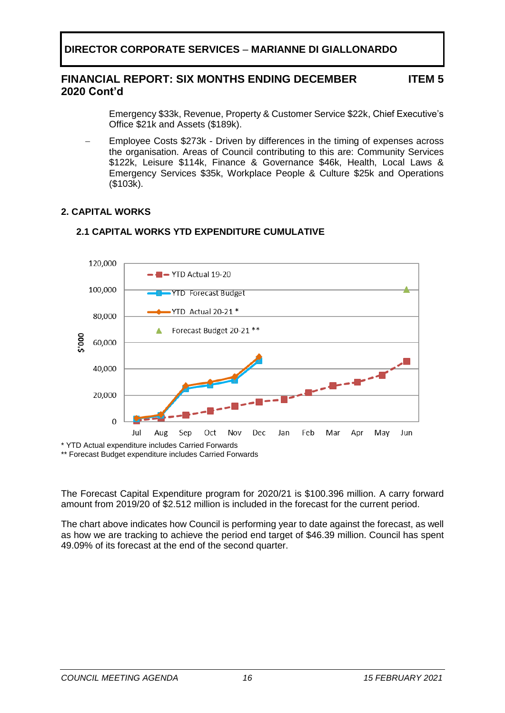#### **FINANCIAL REPORT: SIX MONTHS ENDING DECEMBER 2020 Cont'd ITEM 5**

Emergency \$33k, Revenue, Property & Customer Service \$22k, Chief Executive's Office \$21k and Assets (\$189k).

Employee Costs \$273k - Driven by differences in the timing of expenses across the organisation. Areas of Council contributing to this are: Community Services \$122k, Leisure \$114k, Finance & Governance \$46k, Health, Local Laws & Emergency Services \$35k, Workplace People & Culture \$25k and Operations (\$103k).

# **2. CAPITAL WORKS**



# **2.1 CAPITAL WORKS YTD EXPENDITURE CUMULATIVE**

\*\* Forecast Budget expenditure includes Carried Forwards

The Forecast Capital Expenditure program for 2020/21 is \$100.396 million. A carry forward amount from 2019/20 of \$2.512 million is included in the forecast for the current period.

The chart above indicates how Council is performing year to date against the forecast, as well as how we are tracking to achieve the period end target of \$46.39 million. Council has spent 49.09% of its forecast at the end of the second quarter.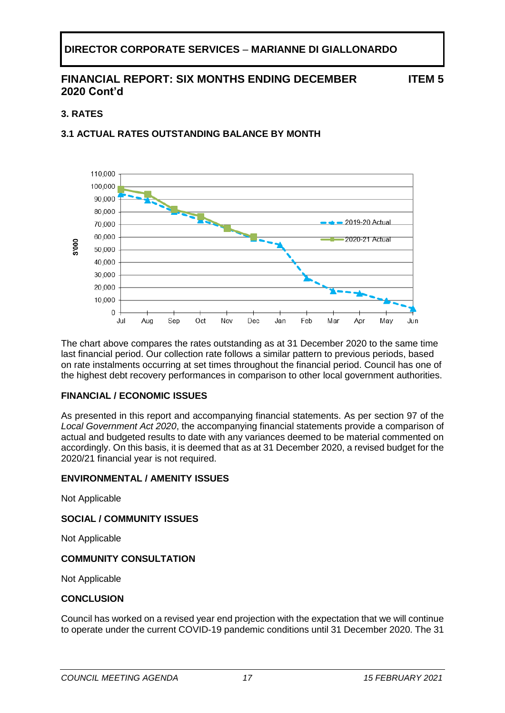# **FINANCIAL REPORT: SIX MONTHS ENDING DECEMBER 2020 Cont'd**

**ITEM 5**

# **3. RATES**

# **3.1 ACTUAL RATES OUTSTANDING BALANCE BY MONTH**



The chart above compares the rates outstanding as at 31 December 2020 to the same time last financial period. Our collection rate follows a similar pattern to previous periods, based on rate instalments occurring at set times throughout the financial period. Council has one of the highest debt recovery performances in comparison to other local government authorities.

# **FINANCIAL / ECONOMIC ISSUES**

As presented in this report and accompanying financial statements. As per section 97 of the *Local Government Act 2020*, the accompanying financial statements provide a comparison of actual and budgeted results to date with any variances deemed to be material commented on accordingly. On this basis, it is deemed that as at 31 December 2020, a revised budget for the 2020/21 financial year is not required.

# **ENVIRONMENTAL / AMENITY ISSUES**

Not Applicable

# **SOCIAL / COMMUNITY ISSUES**

Not Applicable

# **COMMUNITY CONSULTATION**

Not Applicable

# **CONCLUSION**

Council has worked on a revised year end projection with the expectation that we will continue to operate under the current COVID-19 pandemic conditions until 31 December 2020. The 31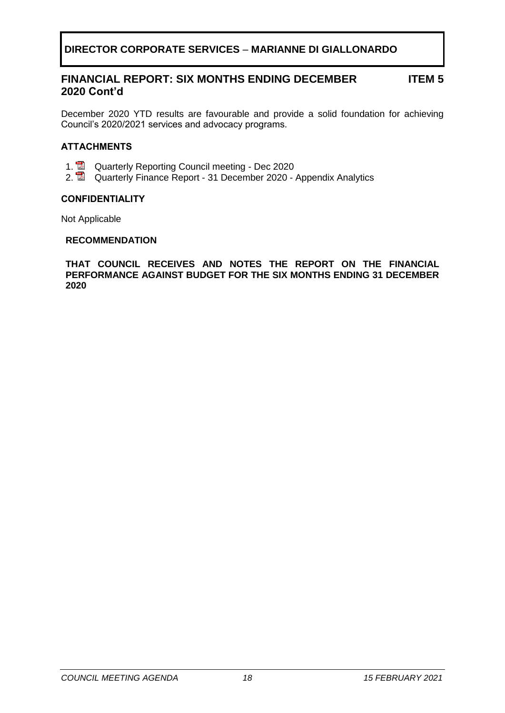#### **FINANCIAL REPORT: SIX MONTHS ENDING DECEMBER 2020 Cont'd ITEM 5**

December 2020 YTD results are favourable and provide a solid foundation for achieving Council's 2020/2021 services and advocacy programs.

# **ATTACHMENTS**

- 1. **Z** Quarterly Reporting Council meeting Dec 2020
- 2. Quarterly Finance Report 31 December 2020 Appendix Analytics

# **CONFIDENTIALITY**

Not Applicable

### **RECOMMENDATION**

**THAT COUNCIL RECEIVES AND NOTES THE REPORT ON THE FINANCIAL PERFORMANCE AGAINST BUDGET FOR THE SIX MONTHS ENDING 31 DECEMBER 2020**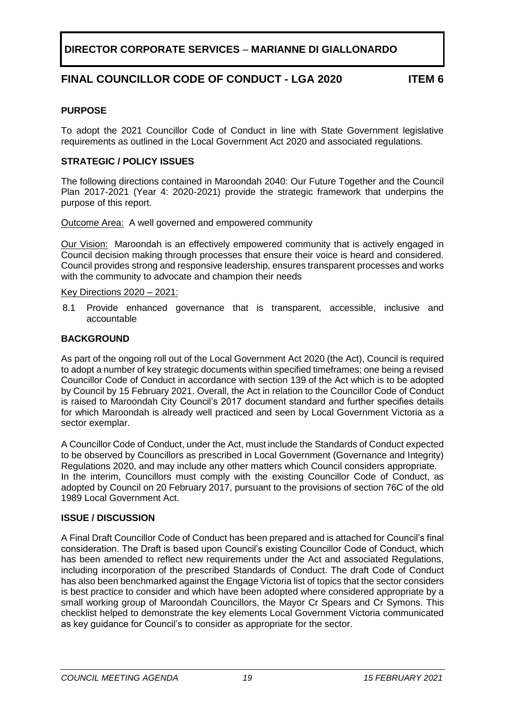# **FINAL COUNCILLOR CODE OF CONDUCT - LGA 2020 ITEM 6**

# <span id="page-18-0"></span>**PURPOSE**

To adopt the 2021 Councillor Code of Conduct in line with State Government legislative requirements as outlined in the Local Government Act 2020 and associated regulations.

# **STRATEGIC / POLICY ISSUES**

The following directions contained in Maroondah 2040: Our Future Together and the Council Plan 2017-2021 (Year 4: 2020-2021) provide the strategic framework that underpins the purpose of this report.

Outcome Area: A well governed and empowered community

Our Vision:Maroondah is an effectively empowered community that is actively engaged in Council decision making through processes that ensure their voice is heard and considered. Council provides strong and responsive leadership, ensures transparent processes and works with the community to advocate and champion their needs

### Key Directions 2020 – 2021:

8.1 Provide enhanced governance that is transparent, accessible, inclusive and accountable

# **BACKGROUND**

As part of the ongoing roll out of the Local Government Act 2020 (the Act), Council is required to adopt a number of key strategic documents within specified timeframes; one being a revised Councillor Code of Conduct in accordance with section 139 of the Act which is to be adopted by Council by 15 February 2021. Overall, the Act in relation to the Councillor Code of Conduct is raised to Maroondah City Council's 2017 document standard and further specifies details for which Maroondah is already well practiced and seen by Local Government Victoria as a sector exemplar.

A Councillor Code of Conduct, under the Act, must include the Standards of Conduct expected to be observed by Councillors as prescribed in Local Government (Governance and Integrity) Regulations 2020, and may include any other matters which Council considers appropriate. In the interim, Councillors must comply with the existing Councillor Code of Conduct, as adopted by Council on 20 February 2017, pursuant to the provisions of section 76C of the old 1989 Local Government Act.

# **ISSUE / DISCUSSION**

A Final Draft Councillor Code of Conduct has been prepared and is attached for Council's final consideration. The Draft is based upon Council's existing Councillor Code of Conduct, which has been amended to reflect new requirements under the Act and associated Regulations, including incorporation of the prescribed Standards of Conduct. The draft Code of Conduct has also been benchmarked against the Engage Victoria list of topics that the sector considers is best practice to consider and which have been adopted where considered appropriate by a small working group of Maroondah Councillors, the Mayor Cr Spears and Cr Symons. This checklist helped to demonstrate the key elements Local Government Victoria communicated as key guidance for Council's to consider as appropriate for the sector.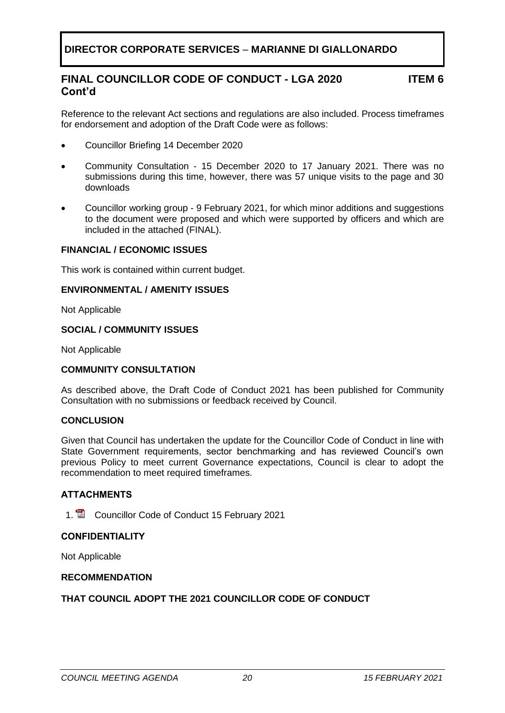# **FINAL COUNCILLOR CODE OF CONDUCT - LGA 2020 Cont'd**

**ITEM 6**

Reference to the relevant Act sections and regulations are also included. Process timeframes for endorsement and adoption of the Draft Code were as follows:

- Councillor Briefing 14 December 2020
- Community Consultation 15 December 2020 to 17 January 2021. There was no submissions during this time, however, there was 57 unique visits to the page and 30 downloads
- Councillor working group 9 February 2021, for which minor additions and suggestions to the document were proposed and which were supported by officers and which are included in the attached (FINAL).

# **FINANCIAL / ECONOMIC ISSUES**

This work is contained within current budget.

# **ENVIRONMENTAL / AMENITY ISSUES**

Not Applicable

# **SOCIAL / COMMUNITY ISSUES**

Not Applicable

# **COMMUNITY CONSULTATION**

As described above, the Draft Code of Conduct 2021 has been published for Community Consultation with no submissions or feedback received by Council.

# **CONCLUSION**

Given that Council has undertaken the update for the Councillor Code of Conduct in line with State Government requirements, sector benchmarking and has reviewed Council's own previous Policy to meet current Governance expectations, Council is clear to adopt the recommendation to meet required timeframes.

# **ATTACHMENTS**

1. **2** Councillor Code of Conduct 15 February 2021

# **CONFIDENTIALITY**

Not Applicable

### **RECOMMENDATION**

# **THAT COUNCIL ADOPT THE 2021 COUNCILLOR CODE OF CONDUCT**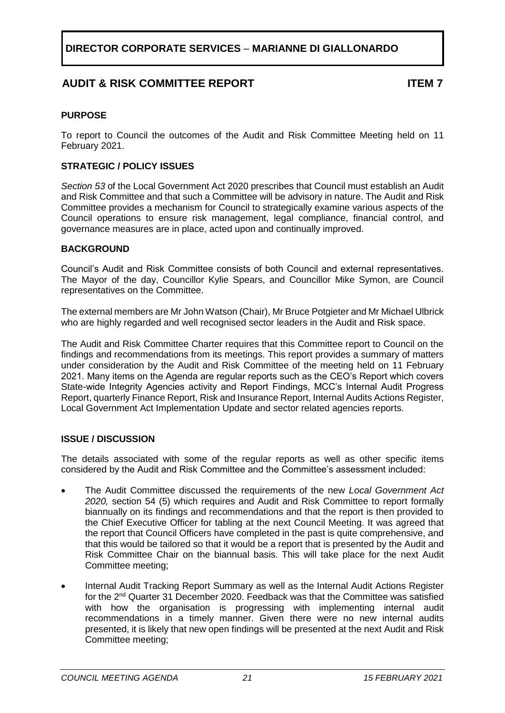# **AUDIT & RISK COMMITTEE REPORT ITEM 7**

# <span id="page-20-0"></span>**PURPOSE**

To report to Council the outcomes of the Audit and Risk Committee Meeting held on 11 February 2021.

# **STRATEGIC / POLICY ISSUES**

*Section 53* of the Local Government Act 2020 prescribes that Council must establish an Audit and Risk Committee and that such a Committee will be advisory in nature. The Audit and Risk Committee provides a mechanism for Council to strategically examine various aspects of the Council operations to ensure risk management, legal compliance, financial control, and governance measures are in place, acted upon and continually improved.

# **BACKGROUND**

Council's Audit and Risk Committee consists of both Council and external representatives. The Mayor of the day, Councillor Kylie Spears, and Councillor Mike Symon, are Council representatives on the Committee.

The external members are Mr John Watson (Chair), Mr Bruce Potgieter and Mr Michael Ulbrick who are highly regarded and well recognised sector leaders in the Audit and Risk space.

The Audit and Risk Committee Charter requires that this Committee report to Council on the findings and recommendations from its meetings. This report provides a summary of matters under consideration by the Audit and Risk Committee of the meeting held on 11 February 2021. Many items on the Agenda are regular reports such as the CEO's Report which covers State-wide Integrity Agencies activity and Report Findings, MCC's Internal Audit Progress Report, quarterly Finance Report, Risk and Insurance Report, Internal Audits Actions Register, Local Government Act Implementation Update and sector related agencies reports.

# **ISSUE / DISCUSSION**

The details associated with some of the regular reports as well as other specific items considered by the Audit and Risk Committee and the Committee's assessment included:

- The Audit Committee discussed the requirements of the new *Local Government Act 2020,* section 54 (5) which requires and Audit and Risk Committee to report formally biannually on its findings and recommendations and that the report is then provided to the Chief Executive Officer for tabling at the next Council Meeting. It was agreed that the report that Council Officers have completed in the past is quite comprehensive, and that this would be tailored so that it would be a report that is presented by the Audit and Risk Committee Chair on the biannual basis. This will take place for the next Audit Committee meeting;
- Internal Audit Tracking Report Summary as well as the Internal Audit Actions Register for the 2nd Quarter 31 December 2020. Feedback was that the Committee was satisfied with how the organisation is progressing with implementing internal audit recommendations in a timely manner. Given there were no new internal audits presented, it is likely that new open findings will be presented at the next Audit and Risk Committee meeting;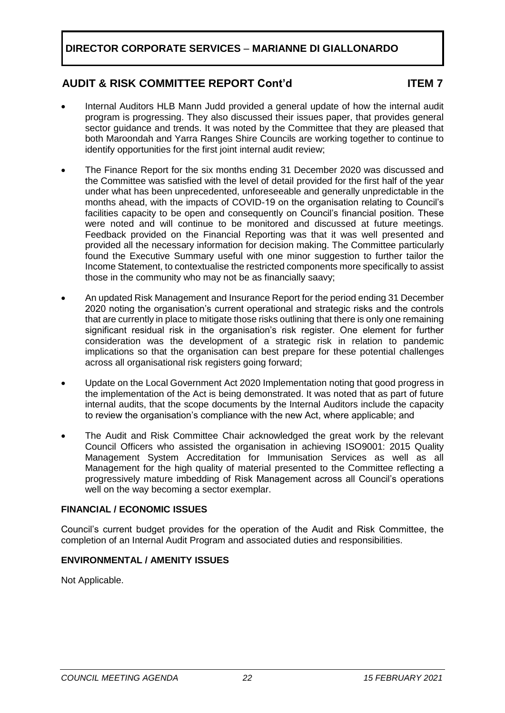# **AUDIT & RISK COMMITTEE REPORT Cont'd ITEM 7**

- Internal Auditors HLB Mann Judd provided a general update of how the internal audit program is progressing. They also discussed their issues paper, that provides general sector guidance and trends. It was noted by the Committee that they are pleased that both Maroondah and Yarra Ranges Shire Councils are working together to continue to identify opportunities for the first joint internal audit review;
- The Finance Report for the six months ending 31 December 2020 was discussed and the Committee was satisfied with the level of detail provided for the first half of the year under what has been unprecedented, unforeseeable and generally unpredictable in the months ahead, with the impacts of COVID-19 on the organisation relating to Council's facilities capacity to be open and consequently on Council's financial position. These were noted and will continue to be monitored and discussed at future meetings. Feedback provided on the Financial Reporting was that it was well presented and provided all the necessary information for decision making. The Committee particularly found the Executive Summary useful with one minor suggestion to further tailor the Income Statement, to contextualise the restricted components more specifically to assist those in the community who may not be as financially saavy;
- An updated Risk Management and Insurance Report for the period ending 31 December 2020 noting the organisation's current operational and strategic risks and the controls that are currently in place to mitigate those risks outlining that there is only one remaining significant residual risk in the organisation's risk register. One element for further consideration was the development of a strategic risk in relation to pandemic implications so that the organisation can best prepare for these potential challenges across all organisational risk registers going forward;
- Update on the Local Government Act 2020 Implementation noting that good progress in the implementation of the Act is being demonstrated. It was noted that as part of future internal audits, that the scope documents by the Internal Auditors include the capacity to review the organisation's compliance with the new Act, where applicable; and
- The Audit and Risk Committee Chair acknowledged the great work by the relevant Council Officers who assisted the organisation in achieving ISO9001: 2015 Quality Management System Accreditation for Immunisation Services as well as all Management for the high quality of material presented to the Committee reflecting a progressively mature imbedding of Risk Management across all Council's operations well on the way becoming a sector exemplar.

# **FINANCIAL / ECONOMIC ISSUES**

Council's current budget provides for the operation of the Audit and Risk Committee, the completion of an Internal Audit Program and associated duties and responsibilities.

# **ENVIRONMENTAL / AMENITY ISSUES**

Not Applicable.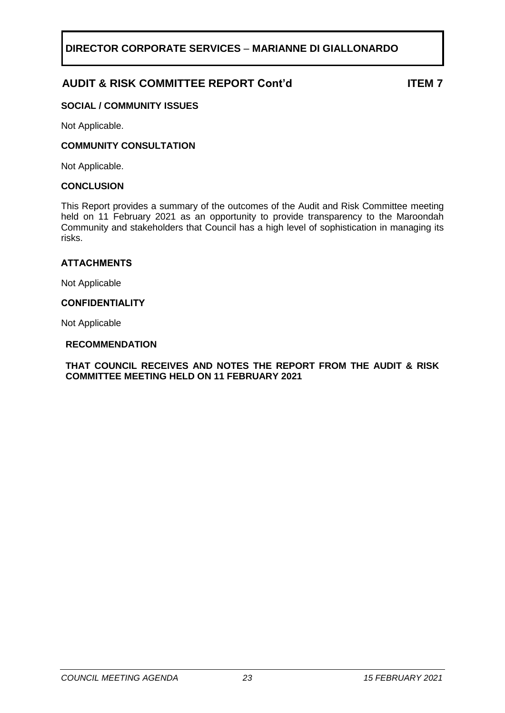# **AUDIT & RISK COMMITTEE REPORT Cont'd ITEM 7**

# **SOCIAL / COMMUNITY ISSUES**

Not Applicable.

# **COMMUNITY CONSULTATION**

Not Applicable.

### **CONCLUSION**

This Report provides a summary of the outcomes of the Audit and Risk Committee meeting held on 11 February 2021 as an opportunity to provide transparency to the Maroondah Community and stakeholders that Council has a high level of sophistication in managing its risks.

### **ATTACHMENTS**

Not Applicable

### **CONFIDENTIALITY**

Not Applicable

### **RECOMMENDATION**

**THAT COUNCIL RECEIVES AND NOTES THE REPORT FROM THE AUDIT & RISK COMMITTEE MEETING HELD ON 11 FEBRUARY 2021**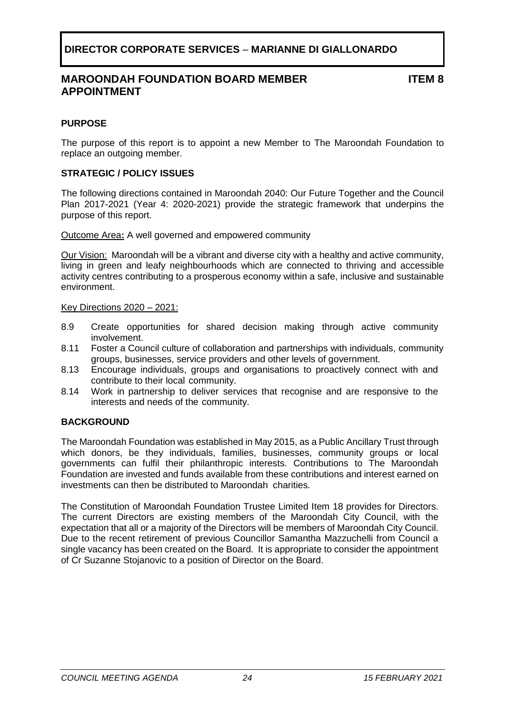# **MAROONDAH FOUNDATION BOARD MEMBER APPOINTMENT**

**ITEM 8**

# <span id="page-23-0"></span>**PURPOSE**

The purpose of this report is to appoint a new Member to The Maroondah Foundation to replace an outgoing member.

# **STRATEGIC / POLICY ISSUES**

The following directions contained in Maroondah 2040: Our Future Together and the Council Plan 2017-2021 (Year 4: 2020-2021) provide the strategic framework that underpins the purpose of this report.

Outcome Area**:** A well governed and empowered community

Our Vision:Maroondah will be a vibrant and diverse city with a healthy and active community, living in green and leafy neighbourhoods which are connected to thriving and accessible activity centres contributing to a prosperous economy within a safe, inclusive and sustainable environment.

### Key Directions 2020 – 2021:

- 8.9 Create opportunities for shared decision making through active community involvement.
- 8.11 Foster a Council culture of collaboration and partnerships with individuals, community groups, businesses, service providers and other levels of government.
- 8.13 Encourage individuals, groups and organisations to proactively connect with and contribute to their local community.
- 8.14 Work in partnership to deliver services that recognise and are responsive to the interests and needs of the community.

# **BACKGROUND**

The Maroondah Foundation was established in May 2015, as a Public Ancillary Trust through which donors, be they individuals, families, businesses, community groups or local governments can fulfil their philanthropic interests. Contributions to The Maroondah Foundation are invested and funds available from these contributions and interest earned on investments can then be distributed to Maroondah charities.

The Constitution of Maroondah Foundation Trustee Limited Item 18 provides for Directors. The current Directors are existing members of the Maroondah City Council, with the expectation that all or a majority of the Directors will be members of Maroondah City Council. Due to the recent retirement of previous Councillor Samantha Mazzuchelli from Council a single vacancy has been created on the Board. It is appropriate to consider the appointment of Cr Suzanne Stojanovic to a position of Director on the Board.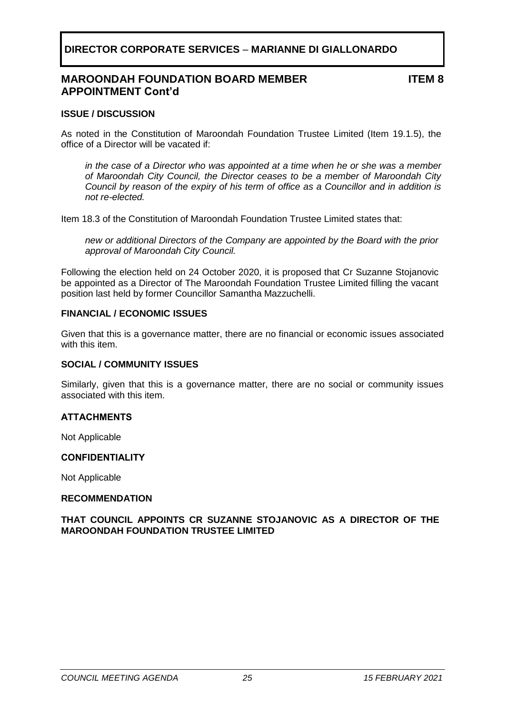# **MAROONDAH FOUNDATION BOARD MEMBER APPOINTMENT Cont'd**

**ITEM 8**

### **ISSUE / DISCUSSION**

As noted in the Constitution of Maroondah Foundation Trustee Limited (Item 19.1.5), the office of a Director will be vacated if:

*in the case of a Director who was appointed at a time when he or she was a member of Maroondah City Council, the Director ceases to be a member of Maroondah City Council by reason of the expiry of his term of office as a Councillor and in addition is not re-elected.*

Item 18.3 of the Constitution of Maroondah Foundation Trustee Limited states that:

*new or additional Directors of the Company are appointed by the Board with the prior approval of Maroondah City Council.*

Following the election held on 24 October 2020, it is proposed that Cr Suzanne Stojanovic be appointed as a Director of The Maroondah Foundation Trustee Limited filling the vacant position last held by former Councillor Samantha Mazzuchelli.

### **FINANCIAL / ECONOMIC ISSUES**

Given that this is a governance matter, there are no financial or economic issues associated with this item.

### **SOCIAL / COMMUNITY ISSUES**

Similarly, given that this is a governance matter, there are no social or community issues associated with this item.

# **ATTACHMENTS**

Not Applicable

### **CONFIDENTIALITY**

Not Applicable

### **RECOMMENDATION**

**THAT COUNCIL APPOINTS CR SUZANNE STOJANOVIC AS A DIRECTOR OF THE MAROONDAH FOUNDATION TRUSTEE LIMITED**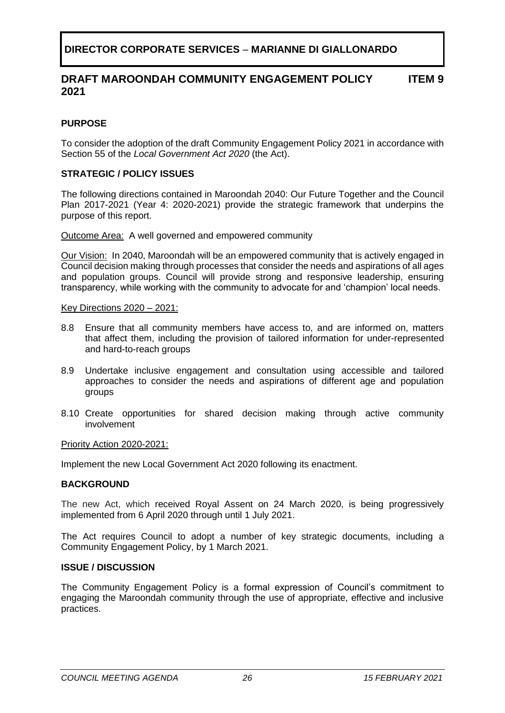#### **DRAFT MAROONDAH COMMUNITY ENGAGEMENT POLICY 2021 ITEM 9**

# <span id="page-25-0"></span>**PURPOSE**

To consider the adoption of the draft Community Engagement Policy 2021 in accordance with Section 55 of the *Local Government Act 2020* (the Act).

# **STRATEGIC / POLICY ISSUES**

The following directions contained in Maroondah 2040: Our Future Together and the Council Plan 2017-2021 (Year 4: 2020-2021) provide the strategic framework that underpins the purpose of this report.

Outcome Area:A well governed and empowered community

Our Vision:In 2040, Maroondah will be an empowered community that is actively engaged in Council decision making through processes that consider the needs and aspirations of all ages and population groups. Council will provide strong and responsive leadership, ensuring transparency, while working with the community to advocate for and 'champion' local needs.

Key Directions 2020 – 2021:

- 8.8 Ensure that all community members have access to, and are informed on, matters that affect them, including the provision of tailored information for under-represented and hard-to-reach groups
- 8.9 Undertake inclusive engagement and consultation using accessible and tailored approaches to consider the needs and aspirations of different age and population groups
- 8.10 Create opportunities for shared decision making through active community involvement

Priority Action 2020-2021:

Implement the new Local Government Act 2020 following its enactment.

### **BACKGROUND**

The new Act, which received Royal Assent on 24 March 2020, is being progressively implemented from 6 April 2020 through until 1 July 2021.

The Act requires Council to adopt a number of key strategic documents, including a Community Engagement Policy, by 1 March 2021.

### **ISSUE / DISCUSSION**

The Community Engagement Policy is a formal expression of Council's commitment to engaging the Maroondah community through the use of appropriate, effective and inclusive practices.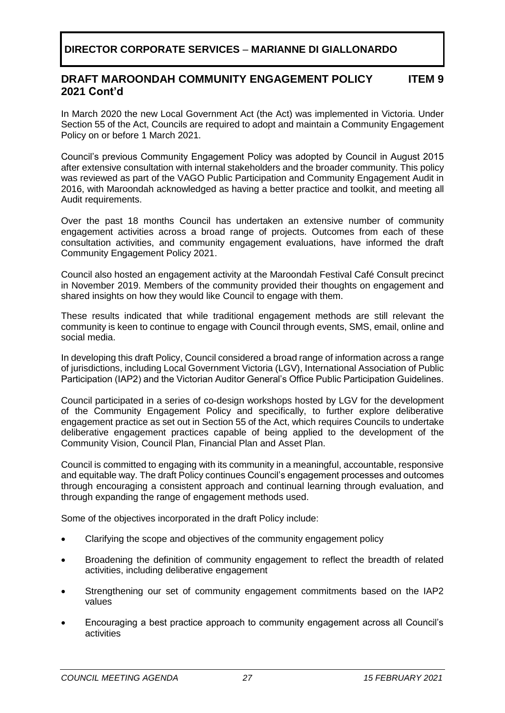#### **DRAFT MAROONDAH COMMUNITY ENGAGEMENT POLICY 2021 Cont'd ITEM 9**

In March 2020 the new Local Government Act (the Act) was implemented in Victoria. Under Section 55 of the Act, Councils are required to adopt and maintain a Community Engagement Policy on or before 1 March 2021.

Council's previous Community Engagement Policy was adopted by Council in August 2015 after extensive consultation with internal stakeholders and the broader community. This policy was reviewed as part of the VAGO Public Participation and Community Engagement Audit in 2016, with Maroondah acknowledged as having a better practice and toolkit, and meeting all Audit requirements.

Over the past 18 months Council has undertaken an extensive number of community engagement activities across a broad range of projects. Outcomes from each of these consultation activities, and community engagement evaluations, have informed the draft Community Engagement Policy 2021.

Council also hosted an engagement activity at the Maroondah Festival Café Consult precinct in November 2019. Members of the community provided their thoughts on engagement and shared insights on how they would like Council to engage with them.

These results indicated that while traditional engagement methods are still relevant the community is keen to continue to engage with Council through events, SMS, email, online and social media.

In developing this draft Policy, Council considered a broad range of information across a range of jurisdictions, including Local Government Victoria (LGV), International Association of Public Participation (IAP2) and the Victorian Auditor General's Office Public Participation Guidelines.

Council participated in a series of co-design workshops hosted by LGV for the development of the Community Engagement Policy and specifically, to further explore deliberative engagement practice as set out in Section 55 of the Act, which requires Councils to undertake deliberative engagement practices capable of being applied to the development of the Community Vision, Council Plan, Financial Plan and Asset Plan.

Council is committed to engaging with its community in a meaningful, accountable, responsive and equitable way. The draft Policy continues Council's engagement processes and outcomes through encouraging a consistent approach and continual learning through evaluation, and through expanding the range of engagement methods used.

Some of the objectives incorporated in the draft Policy include:

- Clarifying the scope and objectives of the community engagement policy
- Broadening the definition of community engagement to reflect the breadth of related activities, including deliberative engagement
- Strengthening our set of community engagement commitments based on the IAP2 values
- Encouraging a best practice approach to community engagement across all Council's activities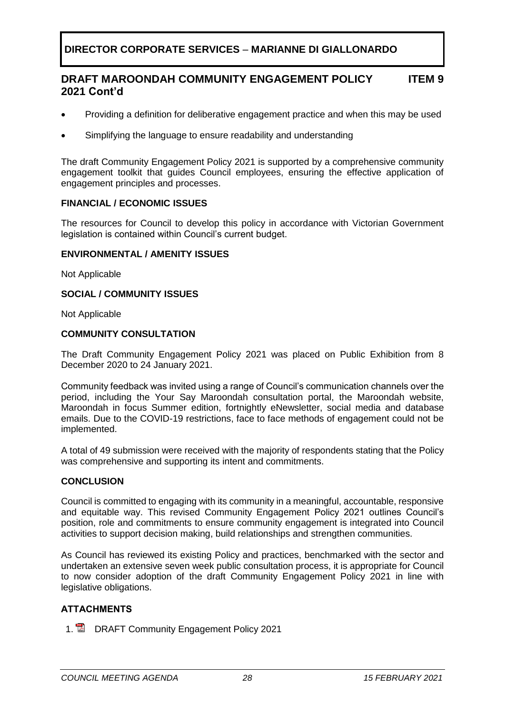#### **DRAFT MAROONDAH COMMUNITY ENGAGEMENT POLICY 2021 Cont'd ITEM 9**

- Providing a definition for deliberative engagement practice and when this may be used
- Simplifying the language to ensure readability and understanding

The draft Community Engagement Policy 2021 is supported by a comprehensive community engagement toolkit that guides Council employees, ensuring the effective application of engagement principles and processes.

# **FINANCIAL / ECONOMIC ISSUES**

The resources for Council to develop this policy in accordance with Victorian Government legislation is contained within Council's current budget.

# **ENVIRONMENTAL / AMENITY ISSUES**

Not Applicable

# **SOCIAL / COMMUNITY ISSUES**

Not Applicable

# **COMMUNITY CONSULTATION**

The Draft Community Engagement Policy 2021 was placed on Public Exhibition from 8 December 2020 to 24 January 2021.

Community feedback was invited using a range of Council's communication channels over the period, including the Your Say Maroondah consultation portal, the Maroondah website, Maroondah in focus Summer edition, fortnightly eNewsletter, social media and database emails. Due to the COVID-19 restrictions, face to face methods of engagement could not be implemented.

A total of 49 submission were received with the majority of respondents stating that the Policy was comprehensive and supporting its intent and commitments.

# **CONCLUSION**

Council is committed to engaging with its community in a meaningful, accountable, responsive and equitable way. This revised Community Engagement Policy 2021 outlines Council's position, role and commitments to ensure community engagement is integrated into Council activities to support decision making, build relationships and strengthen communities.

As Council has reviewed its existing Policy and practices, benchmarked with the sector and undertaken an extensive seven week public consultation process, it is appropriate for Council to now consider adoption of the draft Community Engagement Policy 2021 in line with legislative obligations.

# **ATTACHMENTS**

1. DRAFT Community Engagement Policy 2021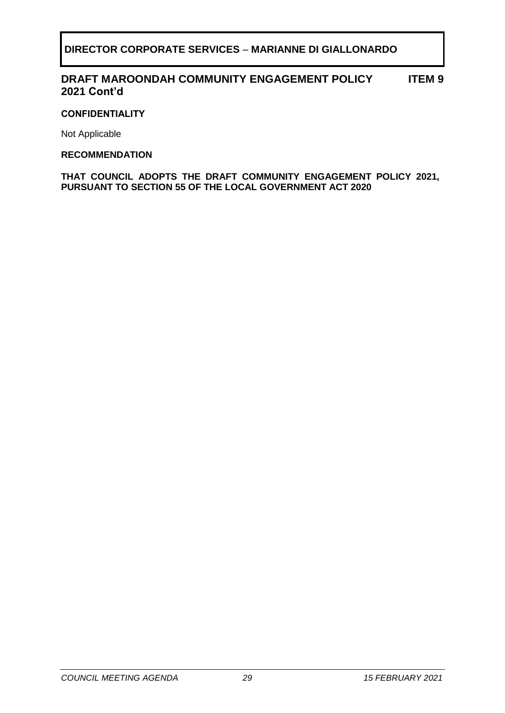#### **DRAFT MAROONDAH COMMUNITY ENGAGEMENT POLICY 2021 Cont'd ITEM 9**

# **CONFIDENTIALITY**

Not Applicable

# **RECOMMENDATION**

**THAT COUNCIL ADOPTS THE DRAFT COMMUNITY ENGAGEMENT POLICY 2021, PURSUANT TO SECTION 55 OF THE LOCAL GOVERNMENT ACT 2020**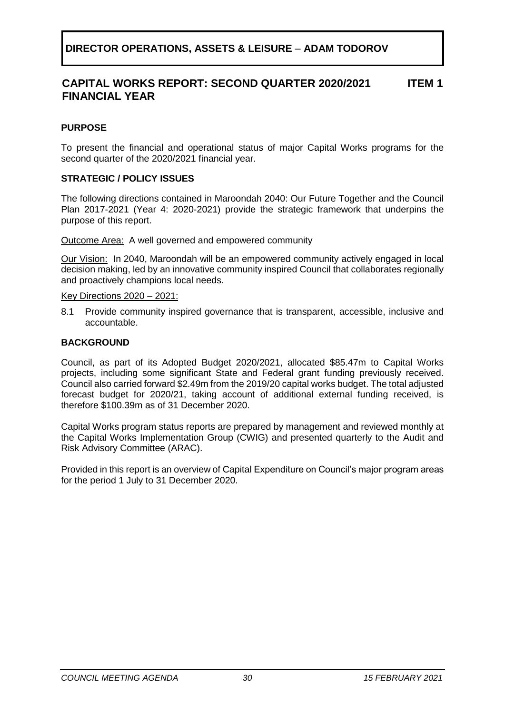### **CAPITAL WORKS REPORT: SECOND QUARTER 2020/2021 FINANCIAL YEAR ITEM 1**

# <span id="page-29-0"></span>**PURPOSE**

To present the financial and operational status of major Capital Works programs for the second quarter of the 2020/2021 financial year.

# **STRATEGIC / POLICY ISSUES**

The following directions contained in Maroondah 2040: Our Future Together and the Council Plan 2017-2021 (Year 4: 2020-2021) provide the strategic framework that underpins the purpose of this report.

Outcome Area: A well governed and empowered community

Our Vision:In 2040, Maroondah will be an empowered community actively engaged in local decision making, led by an innovative community inspired Council that collaborates regionally and proactively champions local needs.

### Key Directions 2020 – 2021:

8.1 Provide community inspired governance that is transparent, accessible, inclusive and accountable.

# **BACKGROUND**

Council, as part of its Adopted Budget 2020/2021, allocated \$85.47m to Capital Works projects, including some significant State and Federal grant funding previously received. Council also carried forward \$2.49m from the 2019/20 capital works budget. The total adjusted forecast budget for 2020/21, taking account of additional external funding received, is therefore \$100.39m as of 31 December 2020.

Capital Works program status reports are prepared by management and reviewed monthly at the Capital Works Implementation Group (CWIG) and presented quarterly to the Audit and Risk Advisory Committee (ARAC).

Provided in this report is an overview of Capital Expenditure on Council's major program areas for the period 1 July to 31 December 2020.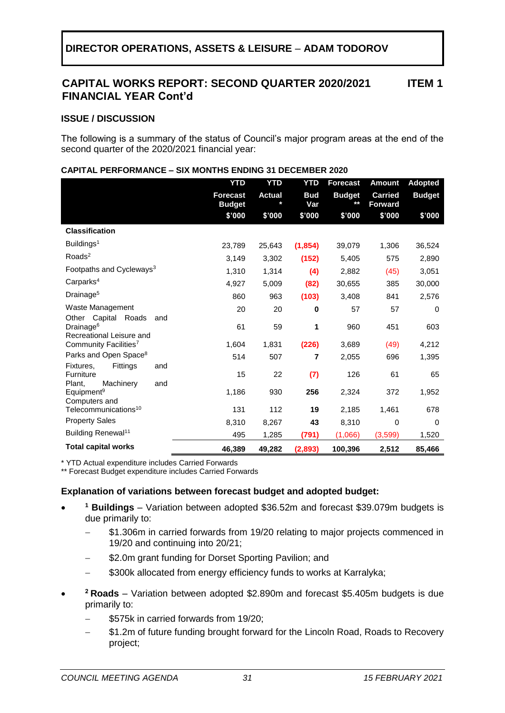### **CAPITAL WORKS REPORT: SECOND QUARTER 2020/2021 FINANCIAL YEAR Cont'd ITEM 1**

### **ISSUE / DISCUSSION**

The following is a summary of the status of Council's major program areas at the end of the second quarter of the 2020/2021 financial year:

|                                                                                       | <b>YTD</b>                       | <b>YTD</b>    | <b>YTD</b>        | <b>Forecast</b>        | <b>Amount</b>                    | <b>Adopted</b> |
|---------------------------------------------------------------------------------------|----------------------------------|---------------|-------------------|------------------------|----------------------------------|----------------|
|                                                                                       | <b>Forecast</b><br><b>Budget</b> | <b>Actual</b> | <b>Bud</b><br>Var | <b>Budget</b><br>$***$ | <b>Carried</b><br><b>Forward</b> | <b>Budget</b>  |
|                                                                                       | \$'000                           | \$'000        | \$'000            | \$'000                 | \$'000                           | \$'000         |
| <b>Classification</b>                                                                 |                                  |               |                   |                        |                                  |                |
| Buildings <sup>1</sup>                                                                | 23,789                           | 25,643        | (1, 854)          | 39,079                 | 1,306                            | 36,524         |
| Roads <sup>2</sup>                                                                    | 3,149                            | 3,302         | (152)             | 5,405                  | 575                              | 2,890          |
| Footpaths and Cycleways <sup>3</sup>                                                  | 1,310                            | 1,314         | (4)               | 2,882                  | (45)                             | 3,051          |
| Carparks <sup>4</sup>                                                                 | 4,927                            | 5,009         | (82)              | 30,655                 | 385                              | 30,000         |
| Drainage <sup>5</sup>                                                                 | 860                              | 963           | (103)             | 3,408                  | 841                              | 2,576          |
| Waste Management                                                                      | 20                               | 20            | 0                 | 57                     | 57                               | 0              |
| Capital<br>Roads<br>Other<br>and<br>Drainage <sup>6</sup><br>Recreational Leisure and | 61                               | 59            | 1                 | 960                    | 451                              | 603            |
| Community Facilities <sup>7</sup>                                                     | 1,604                            | 1,831         | (226)             | 3,689                  | (49)                             | 4,212          |
| Parks and Open Space <sup>8</sup>                                                     | 514                              | 507           | 7                 | 2,055                  | 696                              | 1,395          |
| Fittings<br>Fixtures.<br>and<br>Furniture<br>Plant.<br>Machinery<br>and               | 15                               | 22            | (7)               | 126                    | 61                               | 65             |
| Equipment <sup>9</sup><br>Computers and                                               | 1,186                            | 930           | 256               | 2,324                  | 372                              | 1,952          |
| Telecommunications <sup>10</sup>                                                      | 131                              | 112           | 19                | 2,185                  | 1,461                            | 678            |
| <b>Property Sales</b>                                                                 | 8,310                            | 8,267         | 43                | 8,310                  | 0                                | 0              |
| Building Renewal <sup>11</sup>                                                        | 495                              | 1,285         | (791)             | (1,066)                | (3,599)                          | 1,520          |
| <b>Total capital works</b>                                                            | 46,389                           | 49,282        | (2,893)           | 100,396                | 2,512                            | 85,466         |

### **CAPITAL PERFORMANCE – SIX MONTHS ENDING 31 DECEMBER 2020**

\* YTD Actual expenditure includes Carried Forwards

\*\* Forecast Budget expenditure includes Carried Forwards

### **Explanation of variations between forecast budget and adopted budget:**

- **<sup>1</sup> Buildings** – Variation between adopted \$36.52m and forecast \$39.079m budgets is due primarily to:
	- \$1.306m in carried forwards from 19/20 relating to major projects commenced in 19/20 and continuing into 20/21;
	- \$2.0m grant funding for Dorset Sporting Pavilion; and
	- \$300k allocated from energy efficiency funds to works at Karralyka;
	- **<sup>2</sup> Roads** Variation between adopted \$2.890m and forecast \$5.405m budgets is due primarily to:
		- \$575k in carried forwards from 19/20;
		- − \$1.2m of future funding brought forward for the Lincoln Road, Roads to Recovery project;

•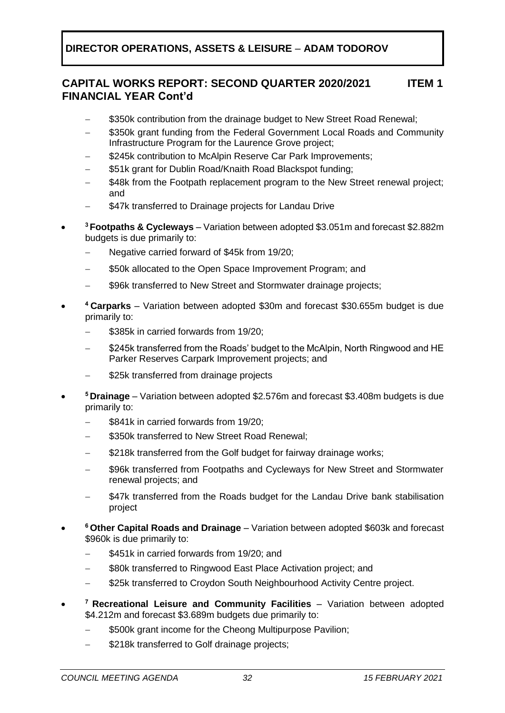### **CAPITAL WORKS REPORT: SECOND QUARTER 2020/2021 FINANCIAL YEAR Cont'd ITEM 1**

- \$350k contribution from the drainage budget to New Street Road Renewal;
- \$350k grant funding from the Federal Government Local Roads and Community Infrastructure Program for the Laurence Grove project;
- \$245k contribution to McAlpin Reserve Car Park Improvements;
- − \$51k grant for Dublin Road/Knaith Road Blackspot funding;
- \$48k from the Footpath replacement program to the New Street renewal project: and
- \$47k transferred to Drainage projects for Landau Drive
- **<sup>3</sup>Footpaths & Cycleways** – Variation between adopted \$3.051m and forecast \$2.882m budgets is due primarily to:
	- − Negative carried forward of \$45k from 19/20;
	- \$50k allocated to the Open Space Improvement Program; and
	- \$96k transferred to New Street and Stormwater drainage projects;
- **<sup>4</sup>Carparks** – Variation between adopted \$30m and forecast \$30.655m budget is due primarily to:
	- \$385k in carried forwards from 19/20;
	- \$245k transferred from the Roads' budget to the McAlpin, North Ringwood and HE Parker Reserves Carpark Improvement projects; and
	- \$25k transferred from drainage projects
- **<sup>5</sup>Drainage** – Variation between adopted \$2.576m and forecast \$3.408m budgets is due primarily to:
	- − \$841k in carried forwards from 19/20;
	- \$350k transferred to New Street Road Renewal:
	- \$218k transferred from the Golf budget for fairway drainage works;
	- \$96k transferred from Footpaths and Cycleways for New Street and Stormwater renewal projects; and
	- \$47k transferred from the Roads budget for the Landau Drive bank stabilisation project
- **<sup>6</sup>Other Capital Roads and Drainage** – Variation between adopted \$603k and forecast \$960k is due primarily to:
	- − \$451k in carried forwards from 19/20; and
	- \$80k transferred to Ringwood East Place Activation project; and
	- \$25k transferred to Croydon South Neighbourhood Activity Centre project.
- **<sup>7</sup>Recreational Leisure and Community Facilities** – Variation between adopted \$4.212m and forecast \$3.689m budgets due primarily to:
	- \$500k grant income for the Cheong Multipurpose Pavilion;
	- \$218k transferred to Golf drainage projects;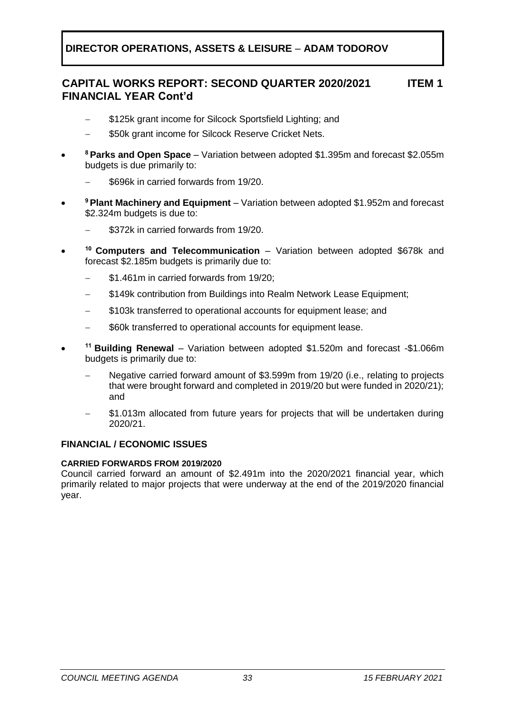### **CAPITAL WORKS REPORT: SECOND QUARTER 2020/2021 FINANCIAL YEAR Cont'd ITEM 1**

- \$125k grant income for Silcock Sportsfield Lighting; and
- − \$50k grant income for Silcock Reserve Cricket Nets.
- **<sup>8</sup>Parks and Open Space** – Variation between adopted \$1.395m and forecast \$2.055m budgets is due primarily to:
	- − \$696k in carried forwards from 19/20.
- **<sup>9</sup>Plant Machinery and Equipment** – Variation between adopted \$1.952m and forecast \$2.324m budgets is due to:
	- \$372k in carried forwards from 19/20.
- **<sup>10</sup>Computers and Telecommunication** – Variation between adopted \$678k and forecast \$2.185m budgets is primarily due to:
	- \$1.461m in carried forwards from 19/20;
	- \$149k contribution from Buildings into Realm Network Lease Equipment;
	- \$103k transferred to operational accounts for equipment lease; and
	- \$60k transferred to operational accounts for equipment lease.
- **<sup>11</sup>Building Renewal** – Variation between adopted \$1.520m and forecast -\$1.066m budgets is primarily due to:
	- Negative carried forward amount of \$3.599m from 19/20 (i.e., relating to projects that were brought forward and completed in 2019/20 but were funded in 2020/21); and
	- \$1.013m allocated from future years for projects that will be undertaken during 2020/21.

# **FINANCIAL / ECONOMIC ISSUES**

# **CARRIED FORWARDS FROM 2019/2020**

Council carried forward an amount of \$2.491m into the 2020/2021 financial year, which primarily related to major projects that were underway at the end of the 2019/2020 financial year.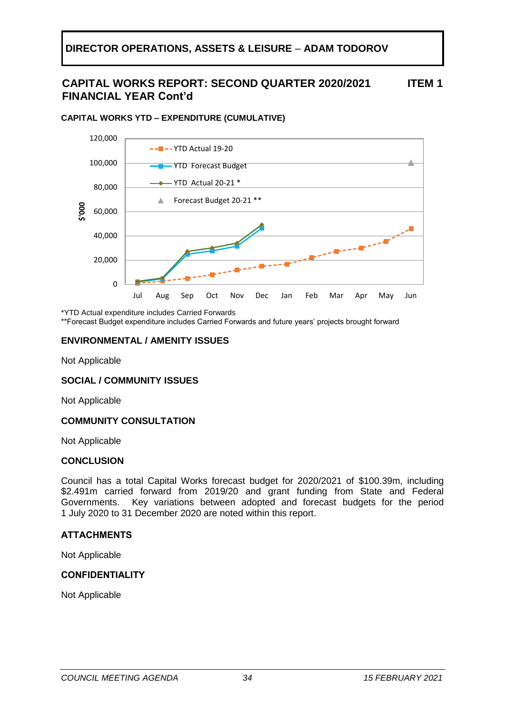### **CAPITAL WORKS REPORT: SECOND QUARTER 2020/2021 FINANCIAL YEAR Cont'd ITEM 1**



### **CAPITAL WORKS YTD – EXPENDITURE (CUMULATIVE)**

\*YTD Actual expenditure includes Carried Forwards

\*\*Forecast Budget expenditure includes Carried Forwards and future years' projects brought forward

# **ENVIRONMENTAL / AMENITY ISSUES**

Not Applicable

# **SOCIAL / COMMUNITY ISSUES**

Not Applicable

# **COMMUNITY CONSULTATION**

Not Applicable

### **CONCLUSION**

Council has a total Capital Works forecast budget for 2020/2021 of \$100.39m, including \$2.491m carried forward from 2019/20 and grant funding from State and Federal Governments. Key variations between adopted and forecast budgets for the period 1 July 2020 to 31 December 2020 are noted within this report.

# **ATTACHMENTS**

Not Applicable

### **CONFIDENTIALITY**

Not Applicable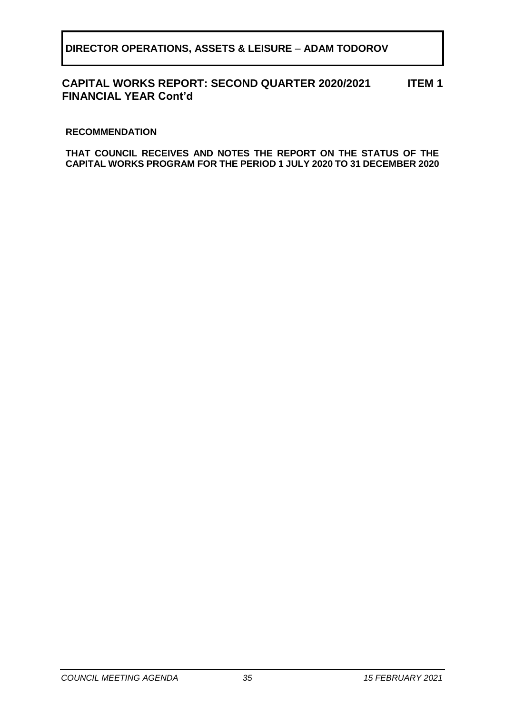#### **CAPITAL WORKS REPORT: SECOND QUARTER 2020/2021 FINANCIAL YEAR Cont'd ITEM 1**

# **RECOMMENDATION**

**THAT COUNCIL RECEIVES AND NOTES THE REPORT ON THE STATUS OF THE CAPITAL WORKS PROGRAM FOR THE PERIOD 1 JULY 2020 TO 31 DECEMBER 2020**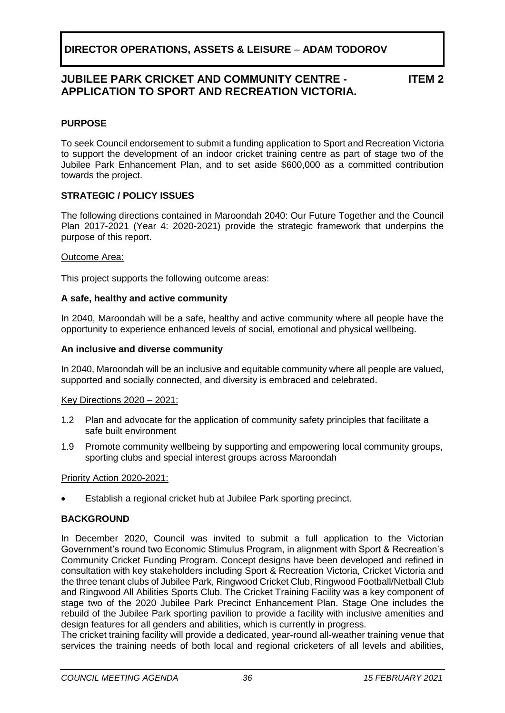# **JUBILEE PARK CRICKET AND COMMUNITY CENTRE - APPLICATION TO SPORT AND RECREATION VICTORIA.**

**ITEM 2**

# <span id="page-35-0"></span>**PURPOSE**

To seek Council endorsement to submit a funding application to Sport and Recreation Victoria to support the development of an indoor cricket training centre as part of stage two of the Jubilee Park Enhancement Plan, and to set aside \$600,000 as a committed contribution towards the project.

# **STRATEGIC / POLICY ISSUES**

The following directions contained in Maroondah 2040: Our Future Together and the Council Plan 2017-2021 (Year 4: 2020-2021) provide the strategic framework that underpins the purpose of this report.

### Outcome Area:

This project supports the following outcome areas:

# **A safe, healthy and active community**

In 2040, Maroondah will be a safe, healthy and active community where all people have the opportunity to experience enhanced levels of social, emotional and physical wellbeing.

### **An inclusive and diverse community**

In 2040, Maroondah will be an inclusive and equitable community where all people are valued, supported and socially connected, and diversity is embraced and celebrated.

### Key Directions 2020 – 2021:

- 1.2 Plan and advocate for the application of community safety principles that facilitate a safe built environment
- 1.9 Promote community wellbeing by supporting and empowering local community groups, sporting clubs and special interest groups across Maroondah

### Priority Action 2020-2021:

Establish a regional cricket hub at Jubilee Park sporting precinct.

# **BACKGROUND**

In December 2020, Council was invited to submit a full application to the Victorian Government's round two Economic Stimulus Program, in alignment with Sport & Recreation's Community Cricket Funding Program. Concept designs have been developed and refined in consultation with key stakeholders including Sport & Recreation Victoria, Cricket Victoria and the three tenant clubs of Jubilee Park, Ringwood Cricket Club, Ringwood Football/Netball Club and Ringwood All Abilities Sports Club. The Cricket Training Facility was a key component of stage two of the 2020 Jubilee Park Precinct Enhancement Plan. Stage One includes the rebuild of the Jubilee Park sporting pavilion to provide a facility with inclusive amenities and design features for all genders and abilities, which is currently in progress.

The cricket training facility will provide a dedicated, year-round all-weather training venue that services the training needs of both local and regional cricketers of all levels and abilities,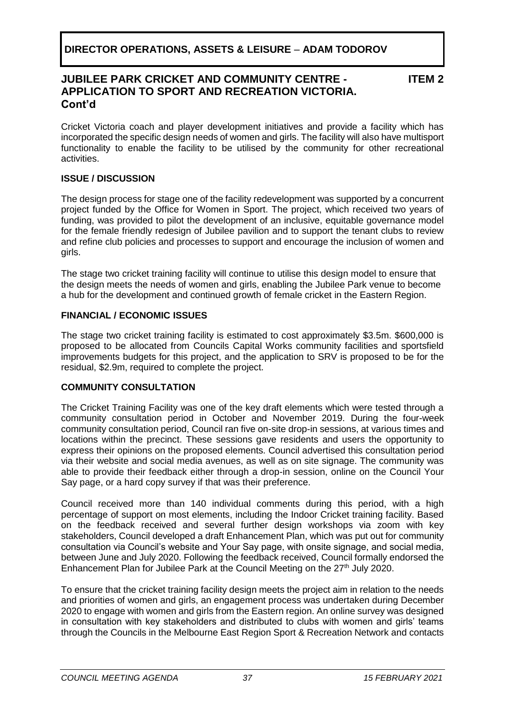# **JUBILEE PARK CRICKET AND COMMUNITY CENTRE - APPLICATION TO SPORT AND RECREATION VICTORIA. Cont'd**

**ITEM 2**

Cricket Victoria coach and player development initiatives and provide a facility which has incorporated the specific design needs of women and girls. The facility will also have multisport functionality to enable the facility to be utilised by the community for other recreational activities.

# **ISSUE / DISCUSSION**

The design process for stage one of the facility redevelopment was supported by a concurrent project funded by the Office for Women in Sport. The project, which received two years of funding, was provided to pilot the development of an inclusive, equitable governance model for the female friendly redesign of Jubilee pavilion and to support the tenant clubs to review and refine club policies and processes to support and encourage the inclusion of women and girls.

The stage two cricket training facility will continue to utilise this design model to ensure that the design meets the needs of women and girls, enabling the Jubilee Park venue to become a hub for the development and continued growth of female cricket in the Eastern Region.

# **FINANCIAL / ECONOMIC ISSUES**

The stage two cricket training facility is estimated to cost approximately \$3.5m. \$600,000 is proposed to be allocated from Councils Capital Works community facilities and sportsfield improvements budgets for this project, and the application to SRV is proposed to be for the residual, \$2.9m, required to complete the project.

# **COMMUNITY CONSULTATION**

The Cricket Training Facility was one of the key draft elements which were tested through a community consultation period in October and November 2019. During the four-week community consultation period, Council ran five on-site drop-in sessions, at various times and locations within the precinct. These sessions gave residents and users the opportunity to express their opinions on the proposed elements. Council advertised this consultation period via their website and social media avenues, as well as on site signage. The community was able to provide their feedback either through a drop-in session, online on the Council Your Say page, or a hard copy survey if that was their preference.

Council received more than 140 individual comments during this period, with a high percentage of support on most elements, including the Indoor Cricket training facility. Based on the feedback received and several further design workshops via zoom with key stakeholders, Council developed a draft Enhancement Plan, which was put out for community consultation via Council's website and Your Say page, with onsite signage, and social media, between June and July 2020. Following the feedback received, Council formally endorsed the Enhancement Plan for Jubilee Park at the Council Meeting on the 27<sup>th</sup> July 2020.

To ensure that the cricket training facility design meets the project aim in relation to the needs and priorities of women and girls, an engagement process was undertaken during December 2020 to engage with women and girls from the Eastern region. An online survey was designed in consultation with key stakeholders and distributed to clubs with women and girls' teams through the Councils in the Melbourne East Region Sport & Recreation Network and contacts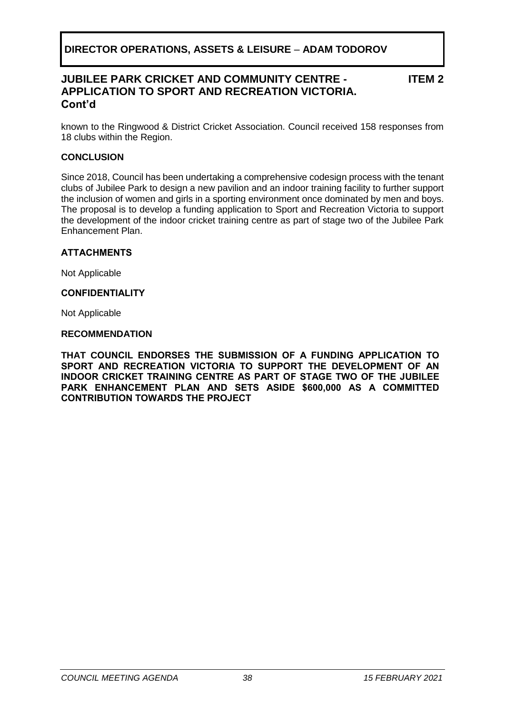# **JUBILEE PARK CRICKET AND COMMUNITY CENTRE - APPLICATION TO SPORT AND RECREATION VICTORIA. Cont'd**

**ITEM 2**

known to the Ringwood & District Cricket Association. Council received 158 responses from 18 clubs within the Region.

# **CONCLUSION**

Since 2018, Council has been undertaking a comprehensive codesign process with the tenant clubs of Jubilee Park to design a new pavilion and an indoor training facility to further support the inclusion of women and girls in a sporting environment once dominated by men and boys. The proposal is to develop a funding application to Sport and Recreation Victoria to support the development of the indoor cricket training centre as part of stage two of the Jubilee Park Enhancement Plan.

# **ATTACHMENTS**

Not Applicable

# **CONFIDENTIALITY**

Not Applicable

### **RECOMMENDATION**

**THAT COUNCIL ENDORSES THE SUBMISSION OF A FUNDING APPLICATION TO SPORT AND RECREATION VICTORIA TO SUPPORT THE DEVELOPMENT OF AN INDOOR CRICKET TRAINING CENTRE AS PART OF STAGE TWO OF THE JUBILEE PARK ENHANCEMENT PLAN AND SETS ASIDE \$600,000 AS A COMMITTED CONTRIBUTION TOWARDS THE PROJECT**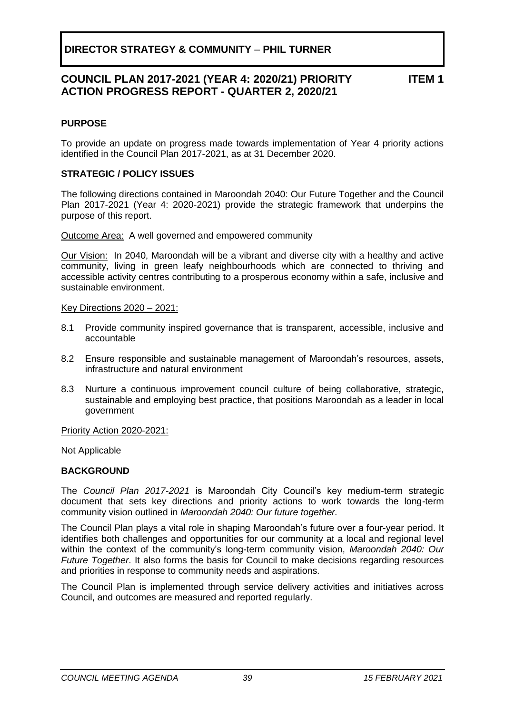# **DIRECTOR STRATEGY & COMMUNITY** – **PHIL TURNER**

# **COUNCIL PLAN 2017-2021 (YEAR 4: 2020/21) PRIORITY ACTION PROGRESS REPORT - QUARTER 2, 2020/21**

**ITEM 1**

# <span id="page-38-0"></span>**PURPOSE**

To provide an update on progress made towards implementation of Year 4 priority actions identified in the Council Plan 2017-2021, as at 31 December 2020.

# **STRATEGIC / POLICY ISSUES**

The following directions contained in Maroondah 2040: Our Future Together and the Council Plan 2017-2021 (Year 4: 2020-2021) provide the strategic framework that underpins the purpose of this report.

Outcome Area:A well governed and empowered community

Our Vision:In 2040, Maroondah will be a vibrant and diverse city with a healthy and active community, living in green leafy neighbourhoods which are connected to thriving and accessible activity centres contributing to a prosperous economy within a safe, inclusive and sustainable environment.

Key Directions 2020 – 2021:

- 8.1 Provide community inspired governance that is transparent, accessible, inclusive and accountable
- 8.2 Ensure responsible and sustainable management of Maroondah's resources, assets, infrastructure and natural environment
- 8.3 Nurture a continuous improvement council culture of being collaborative, strategic, sustainable and employing best practice, that positions Maroondah as a leader in local government

Priority Action 2020-2021:

Not Applicable

# **BACKGROUND**

The *Council Plan 2017-2021* is Maroondah City Council's key medium-term strategic document that sets key directions and priority actions to work towards the long-term community vision outlined in *Maroondah 2040: Our future together.*

The Council Plan plays a vital role in shaping Maroondah's future over a four-year period. It identifies both challenges and opportunities for our community at a local and regional level within the context of the community's long-term community vision, *Maroondah 2040: Our Future Together*. It also forms the basis for Council to make decisions regarding resources and priorities in response to community needs and aspirations.

The Council Plan is implemented through service delivery activities and initiatives across Council, and outcomes are measured and reported regularly.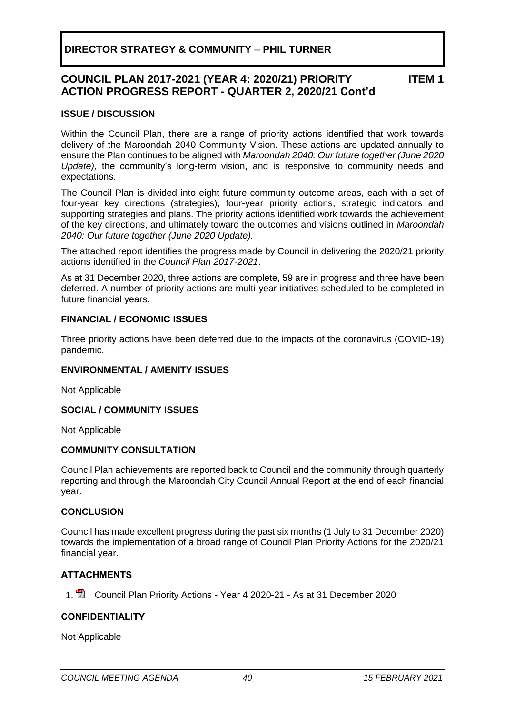# **DIRECTOR STRATEGY & COMMUNITY** – **PHIL TURNER**

### **COUNCIL PLAN 2017-2021 (YEAR 4: 2020/21) PRIORITY ACTION PROGRESS REPORT - QUARTER 2, 2020/21 Cont'd ITEM 1**

### **ISSUE / DISCUSSION**

Within the Council Plan, there are a range of priority actions identified that work towards delivery of the Maroondah 2040 Community Vision. These actions are updated annually to ensure the Plan continues to be aligned with *Maroondah 2040: Our future together (June 2020 Update),* the community's long-term vision, and is responsive to community needs and expectations.

The Council Plan is divided into eight future community outcome areas, each with a set of four-year key directions (strategies), four-year priority actions, strategic indicators and supporting strategies and plans. The priority actions identified work towards the achievement of the key directions, and ultimately toward the outcomes and visions outlined in *Maroondah 2040: Our future together (June 2020 Update).*

The attached report identifies the progress made by Council in delivering the 2020/21 priority actions identified in the *Council Plan 2017-2021*.

As at 31 December 2020, three actions are complete, 59 are in progress and three have been deferred. A number of priority actions are multi-year initiatives scheduled to be completed in future financial years.

# **FINANCIAL / ECONOMIC ISSUES**

Three priority actions have been deferred due to the impacts of the coronavirus (COVID-19) pandemic.

### **ENVIRONMENTAL / AMENITY ISSUES**

Not Applicable

# **SOCIAL / COMMUNITY ISSUES**

Not Applicable

### **COMMUNITY CONSULTATION**

Council Plan achievements are reported back to Council and the community through quarterly reporting and through the Maroondah City Council Annual Report at the end of each financial year.

### **CONCLUSION**

Council has made excellent progress during the past six months (1 July to 31 December 2020) towards the implementation of a broad range of Council Plan Priority Actions for the 2020/21 financial year.

# **ATTACHMENTS**

1. Council Plan Priority Actions - Year 4 2020-21 - As at 31 December 2020

### **CONFIDENTIALITY**

Not Applicable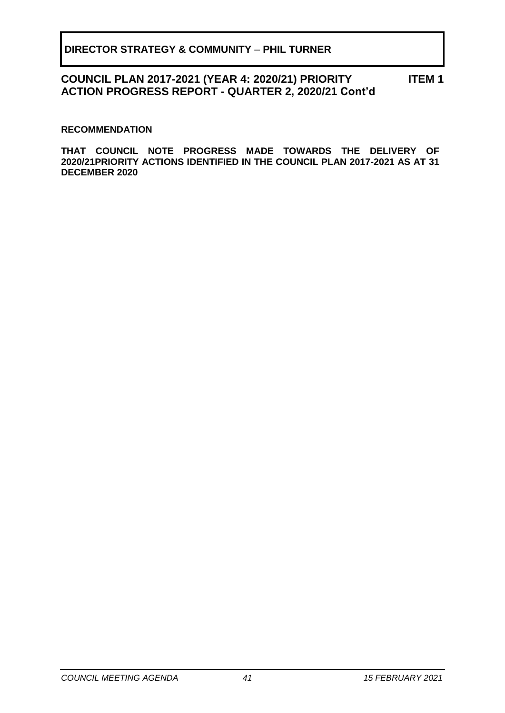#### **COUNCIL PLAN 2017-2021 (YEAR 4: 2020/21) PRIORITY ACTION PROGRESS REPORT - QUARTER 2, 2020/21 Cont'd ITEM 1**

# **RECOMMENDATION**

**THAT COUNCIL NOTE PROGRESS MADE TOWARDS THE DELIVERY OF 2020/21PRIORITY ACTIONS IDENTIFIED IN THE COUNCIL PLAN 2017-2021 AS AT 31 DECEMBER 2020**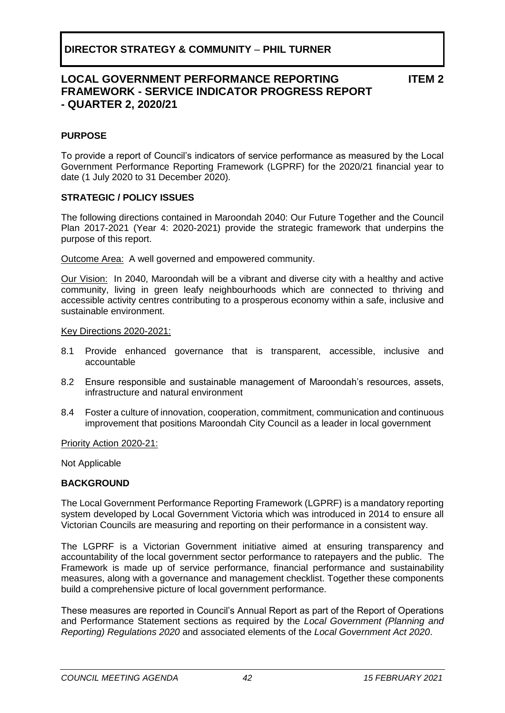# **LOCAL GOVERNMENT PERFORMANCE REPORTING FRAMEWORK - SERVICE INDICATOR PROGRESS REPORT - QUARTER 2, 2020/21**

**ITEM 2**

# <span id="page-41-0"></span>**PURPOSE**

To provide a report of Council's indicators of service performance as measured by the Local Government Performance Reporting Framework (LGPRF) for the 2020/21 financial year to date (1 July 2020 to 31 December 2020).

# **STRATEGIC / POLICY ISSUES**

The following directions contained in Maroondah 2040: Our Future Together and the Council Plan 2017-2021 (Year 4: 2020-2021) provide the strategic framework that underpins the purpose of this report.

Outcome Area:A well governed and empowered community.

Our Vision:In 2040, Maroondah will be a vibrant and diverse city with a healthy and active community, living in green leafy neighbourhoods which are connected to thriving and accessible activity centres contributing to a prosperous economy within a safe, inclusive and sustainable environment.

### Key Directions 2020-2021:

- 8.1 Provide enhanced governance that is transparent, accessible, inclusive and accountable
- 8.2 Ensure responsible and sustainable management of Maroondah's resources, assets, infrastructure and natural environment
- 8.4 Foster a culture of innovation, cooperation, commitment, communication and continuous improvement that positions Maroondah City Council as a leader in local government

Priority Action 2020-21:

Not Applicable

# **BACKGROUND**

The Local Government Performance Reporting Framework (LGPRF) is a mandatory reporting system developed by Local Government Victoria which was introduced in 2014 to ensure all Victorian Councils are measuring and reporting on their performance in a consistent way.

The LGPRF is a Victorian Government initiative aimed at ensuring transparency and accountability of the local government sector performance to ratepayers and the public. The Framework is made up of service performance, financial performance and sustainability measures, along with a governance and management checklist. Together these components build a comprehensive picture of local government performance.

These measures are reported in Council's Annual Report as part of the Report of Operations and Performance Statement sections as required by the *Local Government (Planning and Reporting) Regulations 2020* and associated elements of the *Local Government Act 2020*.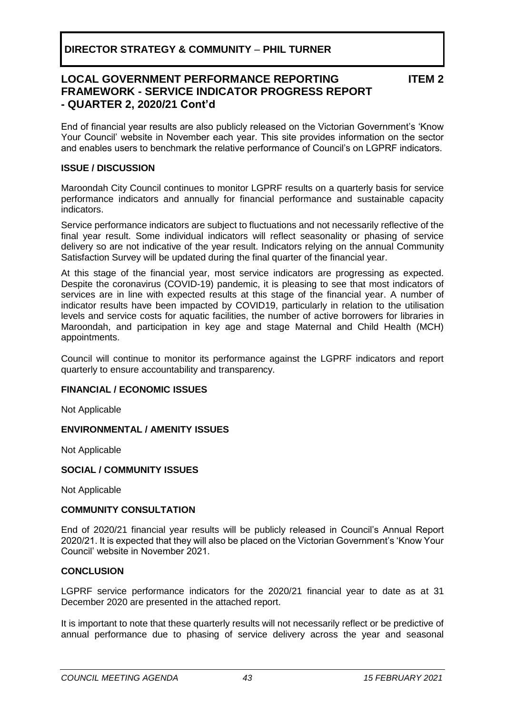# **LOCAL GOVERNMENT PERFORMANCE REPORTING FRAMEWORK - SERVICE INDICATOR PROGRESS REPORT - QUARTER 2, 2020/21 Cont'd**

**ITEM 2**

End of financial year results are also publicly released on the Victorian Government's 'Know Your Council' website in November each year. This site provides information on the sector and enables users to benchmark the relative performance of Council's on LGPRF indicators.

# **ISSUE / DISCUSSION**

Maroondah City Council continues to monitor LGPRF results on a quarterly basis for service performance indicators and annually for financial performance and sustainable capacity indicators.

Service performance indicators are subject to fluctuations and not necessarily reflective of the final year result. Some individual indicators will reflect seasonality or phasing of service delivery so are not indicative of the year result. Indicators relying on the annual Community Satisfaction Survey will be updated during the final quarter of the financial year.

At this stage of the financial year, most service indicators are progressing as expected. Despite the coronavirus (COVID-19) pandemic, it is pleasing to see that most indicators of services are in line with expected results at this stage of the financial year. A number of indicator results have been impacted by COVID19, particularly in relation to the utilisation levels and service costs for aquatic facilities, the number of active borrowers for libraries in Maroondah, and participation in key age and stage Maternal and Child Health (MCH) appointments.

Council will continue to monitor its performance against the LGPRF indicators and report quarterly to ensure accountability and transparency.

# **FINANCIAL / ECONOMIC ISSUES**

Not Applicable

# **ENVIRONMENTAL / AMENITY ISSUES**

Not Applicable

# **SOCIAL / COMMUNITY ISSUES**

Not Applicable

# **COMMUNITY CONSULTATION**

End of 2020/21 financial year results will be publicly released in Council's Annual Report 2020/21. It is expected that they will also be placed on the Victorian Government's 'Know Your Council' website in November 2021.

# **CONCLUSION**

LGPRF service performance indicators for the 2020/21 financial year to date as at 31 December 2020 are presented in the attached report.

It is important to note that these quarterly results will not necessarily reflect or be predictive of annual performance due to phasing of service delivery across the year and seasonal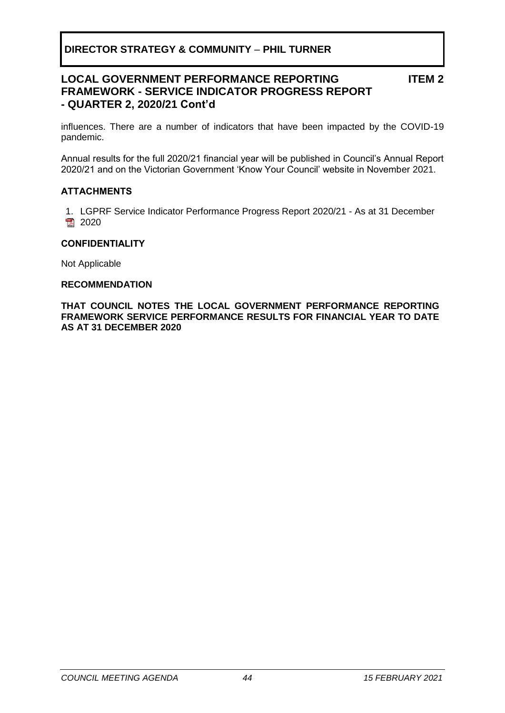# **DIRECTOR STRATEGY & COMMUNITY** – **PHIL TURNER**

# **LOCAL GOVERNMENT PERFORMANCE REPORTING FRAMEWORK - SERVICE INDICATOR PROGRESS REPORT - QUARTER 2, 2020/21 Cont'd**

**ITEM 2**

influences. There are a number of indicators that have been impacted by the COVID-19 pandemic.

Annual results for the full 2020/21 financial year will be published in Council's Annual Report 2020/21 and on the Victorian Government 'Know Your Council' website in November 2021.

### **ATTACHMENTS**

1. LGPRF Service Indicator Performance Progress Report 2020/21 - As at 31 December 2020

### **CONFIDENTIALITY**

Not Applicable

### **RECOMMENDATION**

**THAT COUNCIL NOTES THE LOCAL GOVERNMENT PERFORMANCE REPORTING FRAMEWORK SERVICE PERFORMANCE RESULTS FOR FINANCIAL YEAR TO DATE AS AT 31 DECEMBER 2020**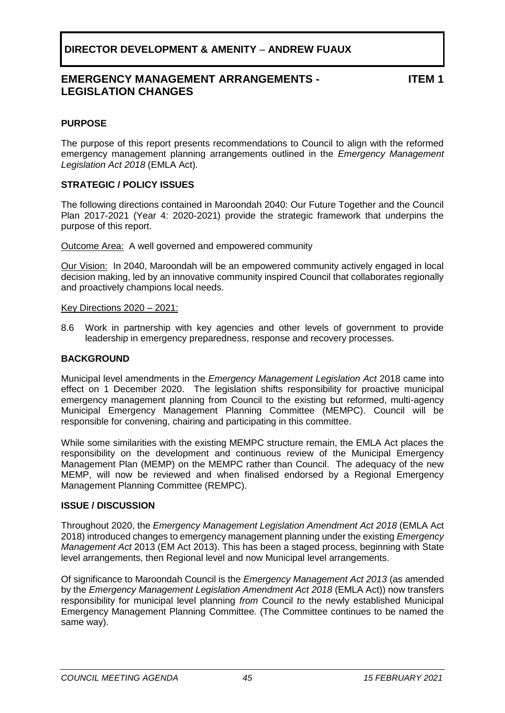# **DIRECTOR DEVELOPMENT & AMENITY** – **ANDREW FUAUX**

# **EMERGENCY MANAGEMENT ARRANGEMENTS - LEGISLATION CHANGES**

**ITEM 1**

# <span id="page-44-0"></span>**PURPOSE**

The purpose of this report presents recommendations to Council to align with the reformed emergency management planning arrangements outlined in the *Emergency Management Legislation Act 2018* (EMLA Act).

# **STRATEGIC / POLICY ISSUES**

The following directions contained in Maroondah 2040: Our Future Together and the Council Plan 2017-2021 (Year 4: 2020-2021) provide the strategic framework that underpins the purpose of this report.

Outcome Area:A well governed and empowered community

Our Vision:In 2040, Maroondah will be an empowered community actively engaged in local decision making, led by an innovative community inspired Council that collaborates regionally and proactively champions local needs.

### Key Directions 2020 – 2021:

8.6 Work in partnership with key agencies and other levels of government to provide leadership in emergency preparedness, response and recovery processes.

# **BACKGROUND**

Municipal level amendments in the *Emergency Management Legislation Act* 2018 came into effect on 1 December 2020. The legislation shifts responsibility for proactive municipal emergency management planning from Council to the existing but reformed, multi-agency Municipal Emergency Management Planning Committee (MEMPC). Council will be responsible for convening, chairing and participating in this committee.

While some similarities with the existing MEMPC structure remain, the EMLA Act places the responsibility on the development and continuous review of the Municipal Emergency Management Plan (MEMP) on the MEMPC rather than Council. The adequacy of the new MEMP, will now be reviewed and when finalised endorsed by a Regional Emergency Management Planning Committee (REMPC).

# **ISSUE / DISCUSSION**

Throughout 2020, the *Emergency Management Legislation Amendment Act 2018* (EMLA Act 2018) introduced changes to emergency management planning under the existing *Emergency Management Act* 2013 (EM Act 2013). This has been a staged process, beginning with State level arrangements, then Regional level and now Municipal level arrangements.

Of significance to Maroondah Council is the *Emergency Management Act 2013* (as amended by the *Emergency Management Legislation Amendment Act 2018* (EMLA Act)) now transfers responsibility for municipal level planning *from* Council *to* the newly established Municipal Emergency Management Planning Committee. (The Committee continues to be named the same way).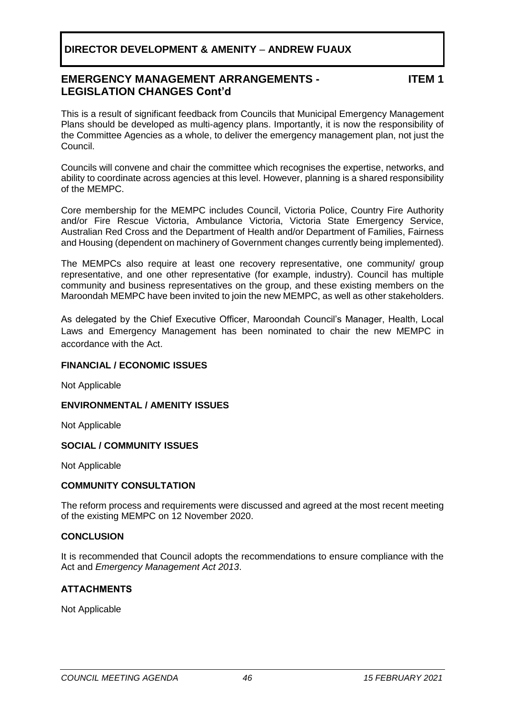# **DIRECTOR DEVELOPMENT & AMENITY** – **ANDREW FUAUX**

# **EMERGENCY MANAGEMENT ARRANGEMENTS - LEGISLATION CHANGES Cont'd**

**ITEM 1**

This is a result of significant feedback from Councils that Municipal Emergency Management Plans should be developed as multi-agency plans. Importantly, it is now the responsibility of the Committee Agencies as a whole, to deliver the emergency management plan, not just the Council.

Councils will convene and chair the committee which recognises the expertise, networks, and ability to coordinate across agencies at this level. However, planning is a shared responsibility of the MEMPC.

Core membership for the MEMPC includes Council, Victoria Police, Country Fire Authority and/or Fire Rescue Victoria, Ambulance Victoria, Victoria State Emergency Service, Australian Red Cross and the Department of Health and/or Department of Families, Fairness and Housing (dependent on machinery of Government changes currently being implemented).

The MEMPCs also require at least one recovery representative, one community/ group representative, and one other representative (for example, industry). Council has multiple community and business representatives on the group, and these existing members on the Maroondah MEMPC have been invited to join the new MEMPC, as well as other stakeholders.

As delegated by the Chief Executive Officer, Maroondah Council's Manager, Health, Local Laws and Emergency Management has been nominated to chair the new MEMPC in accordance with the Act.

# **FINANCIAL / ECONOMIC ISSUES**

Not Applicable

# **ENVIRONMENTAL / AMENITY ISSUES**

Not Applicable

# **SOCIAL / COMMUNITY ISSUES**

Not Applicable

# **COMMUNITY CONSULTATION**

The reform process and requirements were discussed and agreed at the most recent meeting of the existing MEMPC on 12 November 2020.

# **CONCLUSION**

It is recommended that Council adopts the recommendations to ensure compliance with the Act and *Emergency Management Act 2013*.

# **ATTACHMENTS**

Not Applicable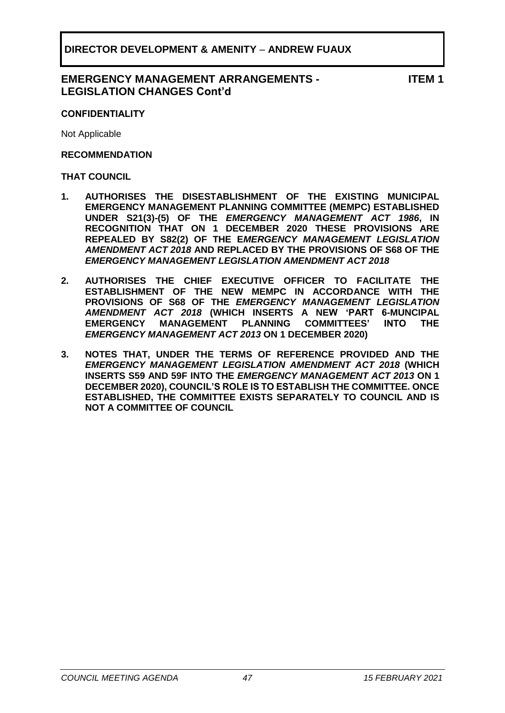# **EMERGENCY MANAGEMENT ARRANGEMENTS - LEGISLATION CHANGES Cont'd**

**ITEM 1**

# **CONFIDENTIALITY**

Not Applicable

# **RECOMMENDATION**

### **THAT COUNCIL**

- **1. AUTHORISES THE DISESTABLISHMENT OF THE EXISTING MUNICIPAL EMERGENCY MANAGEMENT PLANNING COMMITTEE (MEMPC) ESTABLISHED UNDER S21(3)-(5) OF THE** *EMERGENCY MANAGEMENT ACT 1986***, IN RECOGNITION THAT ON 1 DECEMBER 2020 THESE PROVISIONS ARE REPEALED BY S82(2) OF THE E***MERGENCY MANAGEMENT LEGISLATION AMENDMENT ACT 2018* **AND REPLACED BY THE PROVISIONS OF S68 OF THE**  *EMERGENCY MANAGEMENT LEGISLATION AMENDMENT ACT 2018*
- **2. AUTHORISES THE CHIEF EXECUTIVE OFFICER TO FACILITATE THE ESTABLISHMENT OF THE NEW MEMPC IN ACCORDANCE WITH THE PROVISIONS OF S68 OF THE** *EMERGENCY MANAGEMENT LEGISLATION AMENDMENT ACT 2018* **(WHICH INSERTS A NEW 'PART 6-MUNCIPAL EMERGENCY MANAGEMENT PLANNING COMMITTEES' INTO THE**  *EMERGENCY MANAGEMENT ACT 2013* **ON 1 DECEMBER 2020)**
- **3. NOTES THAT, UNDER THE TERMS OF REFERENCE PROVIDED AND THE**  *EMERGENCY MANAGEMENT LEGISLATION AMENDMENT ACT 2018* **(WHICH INSERTS S59 AND 59F INTO THE** *EMERGENCY MANAGEMENT ACT 2013* **ON 1 DECEMBER 2020), COUNCIL'S ROLE IS TO ESTABLISH THE COMMITTEE. ONCE ESTABLISHED, THE COMMITTEE EXISTS SEPARATELY TO COUNCIL AND IS NOT A COMMITTEE OF COUNCIL**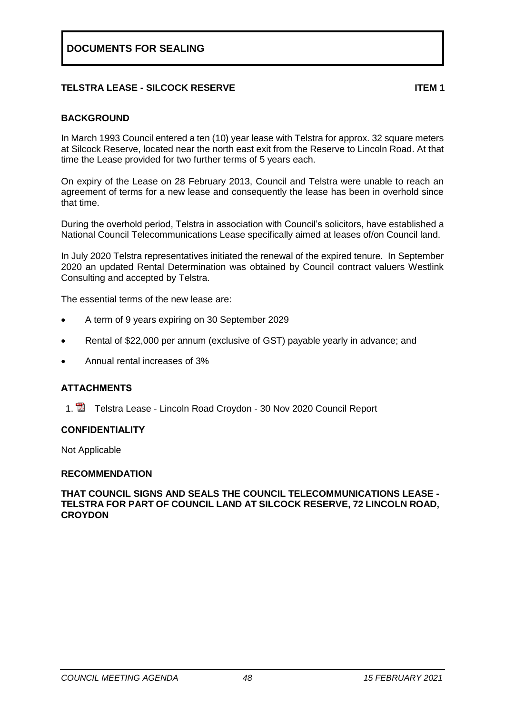# <span id="page-47-0"></span>**TELSTRA LEASE - SILCOCK RESERVE ITEM 1**

# **BACKGROUND**

In March 1993 Council entered a ten (10) year lease with Telstra for approx. 32 square meters at Silcock Reserve, located near the north east exit from the Reserve to Lincoln Road. At that time the Lease provided for two further terms of 5 years each.

On expiry of the Lease on 28 February 2013, Council and Telstra were unable to reach an agreement of terms for a new lease and consequently the lease has been in overhold since that time.

During the overhold period, Telstra in association with Council's solicitors, have established a National Council Telecommunications Lease specifically aimed at leases of/on Council land.

In July 2020 Telstra representatives initiated the renewal of the expired tenure. In September 2020 an updated Rental Determination was obtained by Council contract valuers Westlink Consulting and accepted by Telstra.

The essential terms of the new lease are:

- A term of 9 years expiring on 30 September 2029
- Rental of \$22,000 per annum (exclusive of GST) payable yearly in advance; and
- Annual rental increases of 3%

# **ATTACHMENTS**

1. **The Telstra Lease - Lincoln Road Croydon - 30 Nov 2020 Council Report** 

# **CONFIDENTIALITY**

Not Applicable

# **RECOMMENDATION**

**THAT COUNCIL SIGNS AND SEALS THE COUNCIL TELECOMMUNICATIONS LEASE - TELSTRA FOR PART OF COUNCIL LAND AT SILCOCK RESERVE, 72 LINCOLN ROAD, CROYDON**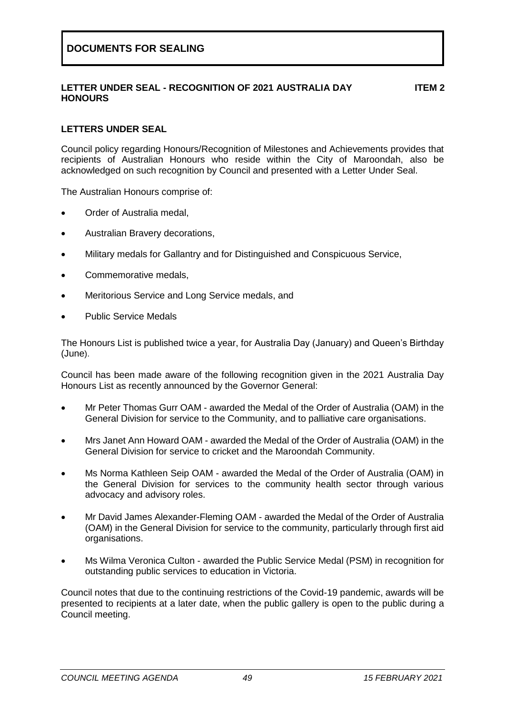# <span id="page-48-0"></span>**LETTER UNDER SEAL - RECOGNITION OF 2021 AUSTRALIA DAY HONOURS**

**ITEM 2**

# **LETTERS UNDER SEAL**

Council policy regarding Honours/Recognition of Milestones and Achievements provides that recipients of Australian Honours who reside within the City of Maroondah, also be acknowledged on such recognition by Council and presented with a Letter Under Seal.

The Australian Honours comprise of:

- Order of Australia medal,
- Australian Bravery decorations,
- Military medals for Gallantry and for Distinguished and Conspicuous Service,
- Commemorative medals.
- Meritorious Service and Long Service medals, and
- Public Service Medals

The Honours List is published twice a year, for Australia Day (January) and Queen's Birthday (June).

Council has been made aware of the following recognition given in the 2021 Australia Day Honours List as recently announced by the Governor General:

- Mr Peter Thomas Gurr OAM awarded the Medal of the Order of Australia (OAM) in the General Division for service to the Community, and to palliative care organisations.
- Mrs Janet Ann Howard OAM awarded the Medal of the Order of Australia (OAM) in the General Division for service to cricket and the Maroondah Community.
- Ms Norma Kathleen Seip OAM awarded the Medal of the Order of Australia (OAM) in the General Division for services to the community health sector through various advocacy and advisory roles.
- Mr David James Alexander-Fleming OAM awarded the Medal of the Order of Australia (OAM) in the General Division for service to the community, particularly through first aid organisations.
- Ms Wilma Veronica Culton awarded the Public Service Medal (PSM) in recognition for outstanding public services to education in Victoria.

Council notes that due to the continuing restrictions of the Covid-19 pandemic, awards will be presented to recipients at a later date, when the public gallery is open to the public during a Council meeting.